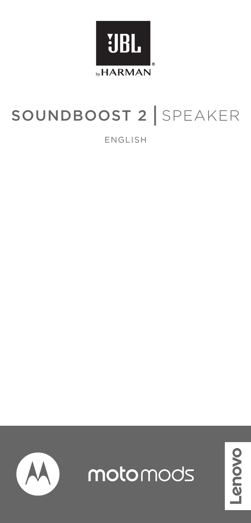

# SOUNDBOOST 2 SPEAKER

ENGLISH



motomods

novo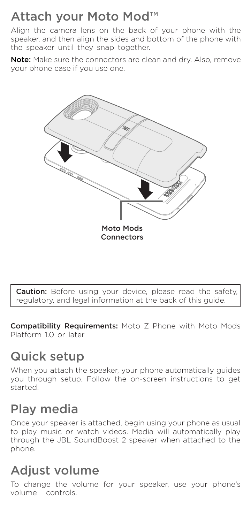## Attach your Moto Mod™

Align the camera lens on the back of your phone with the speaker, and then align the sides and bottom of the phone with the speaker until they snap together.

Note: Make sure the connectors are clean and dry. Also, remove your phone case if you use one.



Caution: Before using your device, please read the safety, regulatory, and legal information at the back of this guide.

Compatibility Requirements: Moto Z Phone with Moto Mods Platform 10 or later

## Quick setup

When you attach the speaker, your phone automatically guides you through setup. Follow the on-screen instructions to get started.

## Play media

Once your speaker is attached, begin using your phone as usual to play music or watch videos. Media will automatically play through the JBL SoundBoost 2 speaker when attached to the phone.

## Adjust volume

To change the volume for your speaker, use your phone's volume controls.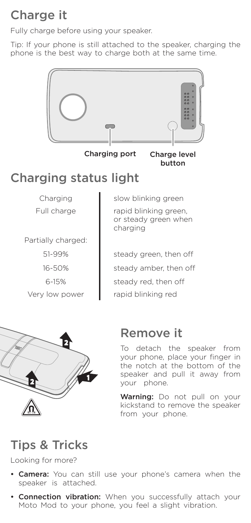## Charge it

Fully charge before using your speaker.

Tip: If your phone is still attached to the speaker, charging the phone is the best way to charge both at the same time.



Charging port Charge level

# button

## Charging status light

Partially charged:

51-99% 16-50% 6-15%

Charging | slow blinking green Full charge **rapid blinking green** or steady green when charging

steady green, then off steady amber, then off steady red, then off Very low power **rapid blinking red** 



## Remove it

To detach the speaker from your phone, place your finger in the notch at the bottom of the speaker and pull it away from your phone.

Warning: Do not pull on your kickstand to remove the speaker from your phone.

## Tips & Tricks

Looking for more?

- Camera: You can still use your phone's camera when the speaker is attached.
- Connection vibration: When you successfully attach your Moto Mod to your phone, you feel a slight vibration.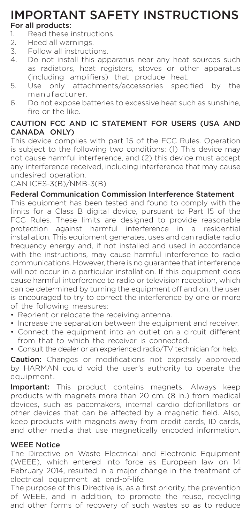## IMPORTANT SAFETY INSTRUCTIONS For all products:

- 1. Read these instructions.<br>2. Heed all warnings.
- 2. Heed all warnings.<br>3. Eollow all instruction
- 3. Follow all instructions.<br>4. Do not install this api
- Do not install this apparatus near any heat sources such as radiators, heat registers, stoves or other apparatus (including amplifiers) that produce heat.
- 5. Use only attachments/accessories specified by the manufacturer.
- 6. Do not expose batteries to excessive heat such as sunshine, fire or the like.

## CAUTION FCC AND IC STATEMENT FOR USERS (USA AND CANADA ONLY)

This device complies with part 15 of the FCC Rules. Operation is subject to the following two conditions: (1) This device may not cause harmful interference, and (2) this device must accept any interference received, including interference that may cause undesired operation.

CAN ICES-3(B)/NMB-3(B)

## Federal Communication Commission Interference Statement

This equipment has been tested and found to comply with the limits for a Class B digital device, pursuant to Part 15 of the FCC Rules. These limits are designed to provide reasonable protection against harmful interference in a residential installation. This equipment generates, uses and can radiate radio frequency energy and, if not installed and used in accordance with the instructions, may cause harmful interference to radio communications. However, there is no guarantee that interference will not occur in a particular installation. If this equipment does cause harmful interference to radio or television reception, which can be determined by turning the equipment off and on, the user is encouraged to try to correct the interference by one or more of the following measures:

- Reorient or relocate the receiving antenna.
- Increase the separation between the equipment and receiver.
- Connect the equipment into an outlet on a circuit different from that to which the receiver is connected.
- Consult the dealer or an experienced radio/TV technician for help.

Caution: Changes or modifications not expressly approved by HARMAN could void the user's authority to operate the equipment.

Important: This product contains magnets. Always keep products with magnets more than 20 cm. (8 in.) from medical devices, such as pacemakers, internal cardio defibrillators or other devices that can be affected by a magnetic field. Also, keep products with magnets away from credit cards, ID cards, and other media that use magnetically encoded information.

## WEEE Notice

The Directive on Waste Electrical and Electronic Equipment (WEEE), which entered into force as European law on 14 February 2014, resulted in a major change in the treatment of electrical equipment at end-of-life.

The purpose of this Directive is, as a first priority, the prevention of WEEE, and in addition, to promote the reuse, recycling and other forms of recovery of such wastes so as to reduce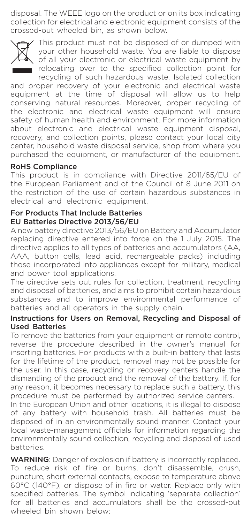disposal. The WEEE logo on the product or on its box indicating collection for electrical and electronic equipment consists of the crossed-out wheeled bin, as shown below.



This product must not be disposed of or dumped with your other household waste. You are liable to dispose of all your electronic or electrical waste equipment by relocating over to the specified collection point for recycling of such hazardous waste. Isolated collection

and proper recovery of your electronic and electrical waste equipment at the time of disposal will allow us to help conserving natural resources. Moreover, proper recycling of the electronic and electrical waste equipment will ensure safety of human health and environment. For more information about electronic and electrical waste equipment disposal, recovery, and collection points, please contact your local city center, household waste disposal service, shop from where you purchased the equipment, or manufacturer of the equipment.

## RoHS Compliance

This product is in compliance with Directive 2011/65/EU of the European Parliament and of the Council of 8 June 2011 on the restriction of the use of certain hazardous substances in electrical and electronic equipment.

#### For Products That Include Batteries EU Batteries Directive 2013/56/EU

A new battery directive 2013/56/EU on Battery and Accumulator replacing directive entered into force on the 1 July 2015. The directive applies to all types of batteries and accumulators (AA, AAA, button cells, lead acid, rechargeable packs) including those incorporated into appliances except for military, medical and power tool applications.

The directive sets out rules for collection, treatment, recycling and disposal of batteries, and aims to prohibit certain hazardous substances and to improve environmental performance of batteries and all operators in the supply chain.

#### Instructions for Users on Removal, Recycling and Disposal of Used Batteries

To remove the batteries from your equipment or remote control, reverse the procedure described in the owner's manual for inserting batteries. For products with a built-in battery that lasts for the lifetime of the product, removal may not be possible for the user. In this case, recycling or recovery centers handle the dismantling of the product and the removal of the battery. If, for any reason, it becomes necessary to replace such a battery, this procedure must be performed by authorized service centers.

In the European Union and other locations, it is illegal to dispose of any battery with household trash. All batteries must be disposed of in an environmentally sound manner. Contact your local waste-management officials for information regarding the environmentally sound collection, recycling and disposal of used batteries.

WARNING: Danger of explosion if battery is incorrectly replaced. To reduce risk of fire or burns, don't disassemble, crush, puncture, short external contacts, expose to temperature above 60°C (140°F), or dispose of in fire or water. Replace only with specified batteries. The symbol indicating 'separate collection' for all batteries and accumulators shall be the crossed-out wheeled bin shown below: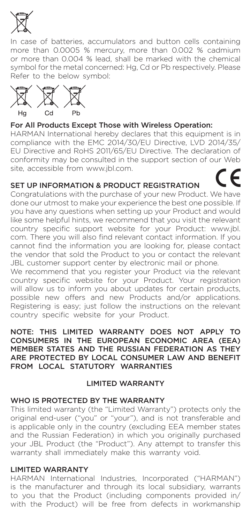

In case of batteries, accumulators and button cells containing more than 0.0005 % mercury, more than 0.002 % cadmium or more than 0.004 % lead, shall be marked with the chemical symbol for the metal concerned: Hg, Cd or Pb respectively. Please Refer to the below symbol:



#### For All Products Except Those with Wireless Operation:

HARMAN International hereby declares that this equipment is in compliance with the EMC 2014/30/EU Directive, LVD 2014/35/ EU Directive and RoHS 2011/65/EU Directive. The declaration of conformity may be consulted in the support section of our Web site, accessible from www.jbl.com.

#### SET UP INFORMATION & PRODUCT REGISTRATION

Congratulations with the purchase of your new Product. We have done our utmost to make your experience the best one possible. If you have any questions when setting up your Product and would like some helpful hints, we recommend that you visit the relevant country specific support website for your Product: www.jbl. com. There you will also find relevant contact information. If you cannot find the information you are looking for, please contact the vendor that sold the Product to you or contact the relevant JBL customer support center by electronic mail or phone.

We recommend that you register your Product via the relevant country specific website for your Product. Your registration will allow us to inform you about updates for certain products, possible new offers and new Products and/or applications. Registering is easy; just follow the instructions on the relevant country specific website for your Product.

#### NOTE: THIS LIMITED WARRANTY DOES NOT APPLY TO CONSUMERS IN THE EUROPEAN ECONOMIC AREA (EEA) MEMBER STATES AND THE RUSSIAN FEDERATION AS THEY ARE PROTECTED BY LOCAL CONSUMER LAW AND BENEFIT FROM LOCAL STATUTORY WARRANTIES

## LIMITED WARRANTY

## WHO IS PROTECTED BY THE WARRANTY

This limited warranty (the "Limited Warranty") protects only the original end-user ("you" or "your"), and is not transferable and is applicable only in the country (excluding EEA member states and the Russian Federation) in which you originally purchased your JBL Product (the "Product"). Any attempt to transfer this warranty shall immediately make this warranty void.

## LIMITED WARRANTY

HARMAN International Industries, Incorporated ("HARMAN") is the manufacturer and through its local subsidiary, warrants to you that the Product (including components provided in/ with the Product) will be free from defects in workmanship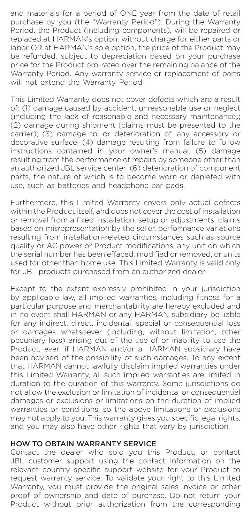and materials for a period of ONE year from the date of retail purchase by you (the "Warranty Period"). During the Warranty Period, the Product (including components), will be repaired or replaced at HARMAN's option, without charge for either parts or labor OR at HARMAN's sole option, the price of the Product may be refunded, subject to depreciation based on your purchase price for the Product pro-rated over the remaining balance of the Warranty Period. Any warranty service or replacement of parts will not extend the Warranty Period.

This Limited Warranty does not cover defects which are a result of: (1) damage caused by accident, unreasonable use or neglect (including the lack of reasonable and necessary maintenance); (2) damage during shipment (claims must be presented to the carrier); (3) damage to, or deterioration of, any accessory or decorative surface; (4) damage resulting from failure to follow instructions contained in your owner's manual; (5) damage resulting from the performance of repairs by someone other than an authorized JBL service center; (6) deterioration of component parts, the nature of which is to become worn or depleted with use, such as batteries and headphone ear pads.

Furthermore, this Limited Warranty covers only actual defects within the Product itself, and does not cover the cost of installation or removal from a fixed installation, setup or adjustments, claims based on misrepresentation by the seller, performance variations resulting from installation-related circumstances such as source quality or AC power or Product modifications, any unit on which the serial number has been effaced, modified or removed, or units used for other than home use. This Limited Warranty is valid only for JBL products purchased from an authorized dealer.

Except to the extent expressly prohibited in your jurisdiction by applicable law, all implied warranties, including fitness for a particular purpose and merchantability are hereby excluded and in no event shall HARMAN or any HARMAN subsidiary be liable for any indirect, direct, incidental, special or consequential loss or damages whatsoever (including, without limitation, other pecuniary loss) arising out of the use of or inability to use the Product, even if HARMAN and/or a HARMAN subsidiary have been advised of the possibility of such damages. To any extent that HARMAN cannot lawfully disclaim implied warranties under this Limited Warranty, all such implied warranties are limited in duration to the duration of this warranty. Some jurisdictions do not allow the exclusion or limitation of incidental or consequential damages or exclusions or limitations on the duration of implied warranties or conditions, so the above limitations or exclusions may not apply to you. This warranty gives you specific legal rights, and you may also have other rights that vary by jurisdiction.

#### HOW TO OBTAIN WARRANTY SERVICE

Contact the dealer who sold you this Product, or contact JBL customer support using the contact information on the relevant country specific support website for your Product to request warranty service. To validate your right to this Limited Warranty, you must provide the original sales invoice or other proof of ownership and date of purchase. Do not return your Product without prior authorization from the corresponding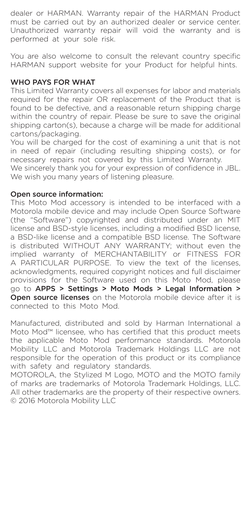dealer or HARMAN. Warranty repair of the HARMAN Product must be carried out by an authorized dealer or service center. Unauthorized warranty repair will void the warranty and is performed at your sole risk.

You are also welcome to consult the relevant country specific HARMAN support website for your Product for helpful hints.

#### WHO PAYS FOR WHAT

This Limited Warranty covers all expenses for labor and materials required for the repair OR replacement of the Product that is found to be defective, and a reasonable return shipping charge within the country of repair. Please be sure to save the original shipping carton(s), because a charge will be made for additional cartons/packaging.

You will be charged for the cost of examining a unit that is not in need of repair (including resulting shipping costs), or for necessary repairs not covered by this Limited Warranty.

We sincerely thank you for your expression of confidence in JBL. We wish you many years of listening pleasure.

## Open source information:

This Moto Mod accessory is intended to be interfaced with a Motorola mobile device and may include Open Source Software (the "Software") copyrighted and distributed under an MIT license and BSD-style licenses, including a modified BSD license, a BSD-like license and a compatible BSD license. The Software is distributed WITHOUT ANY WARRANTY; without even the implied warranty of MERCHANTABILITY or FITNESS FOR A PARTICULAR PURPOSE. To view the text of the licenses, acknowledgments, required copyright notices and full disclaimer provisions for the Software used on this Moto Mod, please go to APPS > Settings > Moto Mods > Legal Information > Open source licenses on the Motorola mobile device after it is connected to this Moto Mod.

Manufactured, distributed and sold by Harman International a Moto Mod™ licensee, who has certified that this product meets the applicable Moto Mod performance standards. Motorola Mobility LLC and Motorola Trademark Holdings LLC are not responsible for the operation of this product or its compliance with safety and regulatory standards.

MOTOROLA, the Stylized M Logo, MOTO and the MOTO family of marks are trademarks of Motorola Trademark Holdings, LLC. All other trademarks are the property of their respective owners. © 2016 Motorola Mobility LLC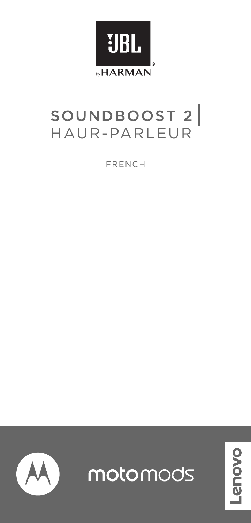

# SOUNDBOOST 2

FRENCH



motomods

novo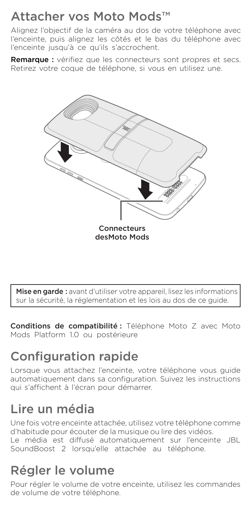## Attacher vos Moto Mods™

Alignez l'objectif de la caméra au dos de votre téléphone avec l'enceinte, puis alignez les côtés et le bas du téléphone avec l'enceinte jusqu'à ce qu'ils s'accrochent.

Remarque : vérifiez que les connecteurs sont propres et secs. Retirez votre coque de téléphone, si vous en utilisez une.



Mise en garde : avant d'utiliser votre appareil, lisez les informations sur la sécurité, la réglementation et les lois au dos de ce guide.

Conditions de compatibilité : Téléphone Moto Z avec Moto Mods Platform 1.0 ou postérieure

# Configuration rapide

Lorsque vous attachez l'enceinte, votre téléphone vous guide automatiquement dans sa configuration. Suivez les instructions qui s'affichent à l'écran pour démarrer.

# Lire un média

Une fois votre enceinte attachée, utilisez votre téléphone comme d'habitude pour écouter de la musique ou lire des vidéos. Le média est diffusé automatiquement sur l'enceinte JBL SoundBoost 2 lorsqu'elle attachée au téléphone

# Régler le volume

Pour régler le volume de votre enceinte, utilisez les commandes de volume de votre téléphone.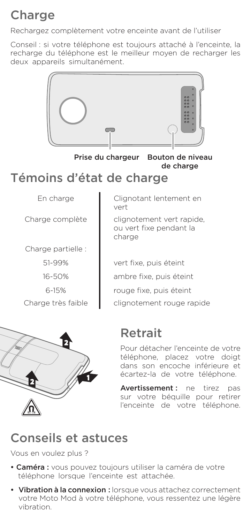# Charge

Rechargez complètement votre enceinte avant de l'utiliser

Conseil : si votre téléphone est toujours attaché à l'enceinte, la recharge du téléphone est le meilleur moyen de recharger les deux appareils simultanément.



Prise du chargeur Bouton de niveau

de charge

## Témoins d'état de charge

Charge partielle :

51-99%

16-50%

6-15%

En charge Clignotant lentement en vert

Charge complète clignotement vert rapide, ou vert fixe pendant la charge

vert fixe, puis éteint ambre fixe, puis éteint rouge fixe, puis éteint Charge très faible  $\Box$  clignotement rouge rapide



Pour détacher l'enceinte de votre téléphone, placez votre doigt dans son encoche inférieure et écartez-la de votre téléphone.

Avertissement : ne tirez pas sur votre béquille pour retirer l'enceinte de votre téléphone.

## Conseils et astuces

Vous en voulez plus ?

- Caméra : vous pouvez toujours utiliser la caméra de votre téléphone lorsque l'enceinte est attachée.
- Vibration à la connexion : lorsque vous attachez correctement votre Moto Mod à votre téléphone, vous ressentez une légère vibration.

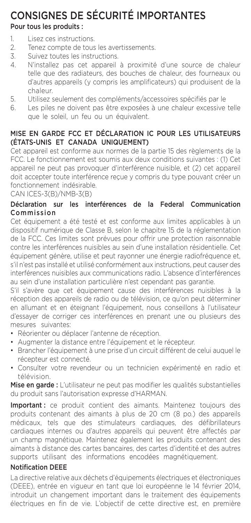## CONSIGNES DE SÉCURITÉ IMPORTANTES

## Pour tous les produits :

- 1. Lisez ces instructions.<br>2. Tenez compte de tous
- 2. Tenez compte de tous les avertissements.<br>3. Suivez toutes les instructions.
- Suivez toutes les instructions.
- 4. N'installez pas cet appareil à proximité d'une source de chaleur telle que des radiateurs, des bouches de chaleur, des fourneaux ou d'autres appareils (y compris les amplificateurs) qui produisent de la chaleur.
- 5. Utilisez seulement des compléments/accessoires spécifiés par le 6. Les piles ne doivent pas être exposées à une chaleur excessive
- Les piles ne doivent pas être exposées à une chaleur excessive telle que le soleil, un feu ou un équivalent.

## MISE EN GARDE FCC ET DÉCLARATION IC POUR LES UTILISATEURS (ÉTATS-UNIS ET CANADA UNIQUEMENT)

Cet appareil est conforme aux normes de la partie 15 des règlements de la FCC. Le fonctionnement est soumis aux deux conditions suivantes : (1) Cet appareil ne peut pas provoquer d'interférence nuisible, et (2) cet appareil doit accepter toute interférence reçue y compris du type pouvant créer un fonctionnement indésirable.

CAN ICES-3(B)/NMB-3(B)

## Déclaration sur les interférences de la Federal Communication Commission

Cet équipement a été testé et est conforme aux limites applicables à un dispositif numérique de Classe B, selon le chapitre 15 de la réglementation de la FCC. Ces limites sont prévues pour offrir une protection raisonnable contre les interférences nuisibles au sein d'une installation résidentielle. Cet équipement génère, utilise et peut rayonner une énergie radiofréquence et, s'il n'est pas installé et utilisé conformément aux instructions, peut causer des interférences nuisibles aux communications radio. L'absence d'interférences au sein d'une installation particulière n'est cependant pas garantie.

S'il s'avère que cet équipement cause des interférences nuisibles à la réception des appareils de radio ou de télévision, ce qu'on peut déterminer en allumant et en éteignant l'équipement, nous conseillons à l'utilisateur d'essayer de corriger ces interférences en prenant une ou plusieurs des mesures suivantes:

- Réorienter ou déplacer l'antenne de réception.
- Augmenter la distance entre l'équipement et le récepteur.
- Brancher l'équipement à une prise d'un circuit différent de celui auquel le récepteur est connecté.
- Consulter votre revendeur ou un technicien expérimenté en radio et télévision.

Mise en garde : L'utilisateur ne peut pas modifier les qualités substantielles du produit sans l'autorisation expresse d'HARMAN.

Important : ce produit contient des aimants. Maintenez toujours des produits contenant des aimants à plus de 20 cm (8 po.) des appareils médicaux, tels que des stimulateurs cardiaques, des défibrillateurs cardiaques internes ou d'autres appareils qui peuvent être affectés par un champ magnétique. Maintenez également les produits contenant des aimants à distance des cartes bancaires, des cartes d'identité et des autres supports utilisant des informations encodées magnétiquement.

## Notification DEEE

La directive relative aux déchets d'équipements électriques et électroniques (DEEE), entrée en vigueur en tant que loi européenne le 14 février 2014, introduit un changement important dans le traitement des équipements électriques en fin de vie. L'objectif de cette directive est, en première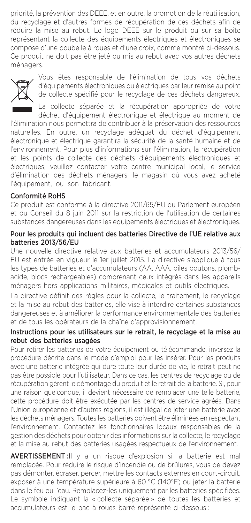priorité, la prévention des DEEE, et en outre, la promotion de la réutilisation, du recyclage et d'autres formes de récupération de ces déchets afin de réduire la mise au rebut. Le logo DEEE sur le produit ou sur sa boîte représentant la collecte des équipements électriques et électroniques se compose d'une poubelle à roues et d'une croix, comme montré ci-dessous. Ce produit ne doit pas être jeté ou mis au rebut avec vos autres déchets ménagers.



Vous êtes responsable de l'élimination de tous vos déchets d'équipements électroniques ou électriques par leur remise au point de collecte spécifié pour le recyclage de ces déchets dangereux.

La collecte séparée et la récupération appropriée de votre déchet d'équipement électronique et électrique au moment de l'élimination nous permettra de contribuer à la préservation des ressources naturelles. En outre, un recyclage adéquat du déchet d'équipement électronique et électrique garantira la sécurité de la santé humaine et de l'environnement. Pour plus d'informations sur l'élimination, la récupération et les points de collecte des déchets d'équipements électroniques et électriques, veuillez contacter votre centre municipal local, le service d'élimination des déchets ménagers, le magasin où vous avez acheté l'équipement, ou son fabricant.

#### Conformité RoHS

Ce produit est conforme à la directive 2011/65/EU du Parlement européen et du Conseil du 8 juin 2011 sur la restriction de l'utilisation de certaines substances dangereuses dans les équipements électriques et électroniques.

#### Pour les produits qui incluent des batteries Directive de l'UE relative aux batteries 2013/56/EU

Une nouvelle directive relative aux batteries et accumulateurs 2013/56/ EU est entrée en vigueur le 1er juillet 2015. La directive s'applique à tous les types de batteries et d'accumulateurs (AA, AAA, piles boutons, plombacide, blocs rechargeables) comprenant ceux intégrés dans les appareils ménagers hors applications militaires, médicales et outils électriques.

La directive définit des règles pour la collecte, le traitement, le recyclage et la mise au rebut des batteries, elle vise à interdire certaines substances dangereuses et à améliorer la performance environnementale des batteries et de tous les opérateurs de la chaîne d'approvisionnement.

#### Instructions pour les utilisateurs sur le retrait, le recyclage et la mise au rebut des batteries usagées

Pour retirer les batteries de votre équipement ou télécommande, inversez la procédure décrite dans le mode d'emploi pour les insérer. Pour les produits avec une batterie intégrée qui dure toute leur durée de vie, le retrait peut ne pas être possible pour l'utilisateur. Dans ce cas, les centres de recyclage ou de récupération gèrent le démontage du produit et le retrait de la batterie. Si, pour une raison quelconque, il devient nécessaire de remplacer une telle batterie, cette procédure doit être exécutée par les centres de service agréés. Dans l'Union européenne et d'autres régions, il est illégal de jeter une batterie avec les déchets ménagers. Toutes les batteries doivent être éliminées en respectant l'environnement. Contactez les fonctionnaires locaux responsables de la gestion des déchets pour obtenir des informations sur la collecte, le recyclage et la mise au rebut des batteries usagées respectueux de l'environnement.

AVERTISSEMENT :Il y a un risque d'explosion si la batterie est mal remplacée. Pour réduire le risque d'incendie ou de brûlures, vous de devez pas démonter, écraser, percer, mettre les contacts externes en court-circuit, exposer à une température supérieure à 60 °C (140°F) ou jeter la batterie dans le feu ou l'eau. Remplacez-les uniquement par les batteries spécifiées. Le symbole indiquant la « collecte séparée » de toutes les batteries et accumulateurs est le bac à roues barré représenté ci-dessous :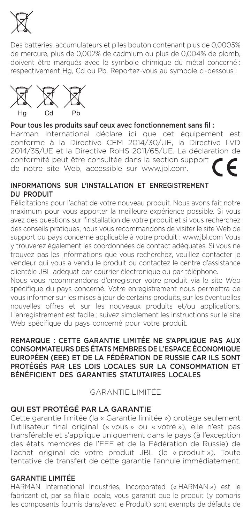

Des batteries, accumulateurs et piles bouton contenant plus de 0,0005% de mercure, plus de 0,002% de cadmium ou plus de 0,004% de plomb, doivent être marqués avec le symbole chimique du métal concerné : respectivement Hg, Cd ou Pb. Reportez-vous au symbole ci-dessous :



#### Pour tous les produits sauf ceux avec fonctionnement sans fil :

Harman International déclare ici que cet équipement est conforme à la Directive CEM 2014/30/UE, la Directive LVD 2014/35/UE et la Directive RoHS 2011/65/UE. La déclaration de conformité peut être consultée dans la section support de notre site Web, accessible sur www.jbl.com.

#### INFORMATIONS SUR L'INSTALLATION ET ENREGISTREMENT DU PRODUIT

Félicitations pour l'achat de votre nouveau produit. Nous avons fait notre maximum pour vous apporter la meilleure expérience possible. Si vous avez des questions sur l'installation de votre produit et si vous recherchez des conseils pratiques, nous vous recommandons de visiter le site Web de support du pays concerné applicable à votre produit : www.jbl.com Vous y trouverez également les coordonnées de contact adéquates. Si vous ne trouvez pas les informations que vous recherchez, veuillez contacter le vendeur qui vous a vendu le produit ou contactez le centre d'assistance clientèle JBL adéquat par courrier électronique ou par téléphone.

Nous vous recommandons d'enregistrer votre produit via le site Web spécifique du pays concerné. Votre enregistrement nous permettra de vous informer sur les mises à jour de certains produits, sur les éventuelles nouvelles offres et sur les nouveaux produits et/ou applications. L'enregistrement est facile ; suivez simplement les instructions sur le site Web spécifique du pays concerné pour votre produit

#### REMARQUE : CETTE GARANTIE LIMITÉE NE S'APPLIQUE PAS AUX CONSOMMATEURS DES ÉTATS MEMBRES DE L'ESPACE ÉCONOMIQUE EUROPÉEN (EEE) ET DE LA FÉDÉRATION DE RUSSIE CAR ILS SONT PROTÉGÉS PAR LES LOIS LOCALES SUR LA CONSOMMATION ET BÉNÉFICIENT DES GARANTIES STATUTAIRES LOCALES

GARANTIE LIMITÉE

## QUI EST PROTÉGÉ PAR LA GARANTIE

Cette garantie limitée (la « Garantie limitée ») protège seulement l'utilisateur final original (« vous » ou « votre »), elle n'est pas transférable et s'applique uniquement dans le pays (à l'exception des états membres de l'EEE et de la Fédération de Russie) de l'achat original de votre produit JBL (le « produit »). Toute tentative de transfert de cette garantie l'annule immédiatement.

#### GARANTIE LIMITÉE

HARMAN International Industries, Incorporated (« HARMAN ») est le fabricant et, par sa filiale locale, vous garantit que le produit (y compris les composants fournis dans/avec le Produit) sont exempts de défauts de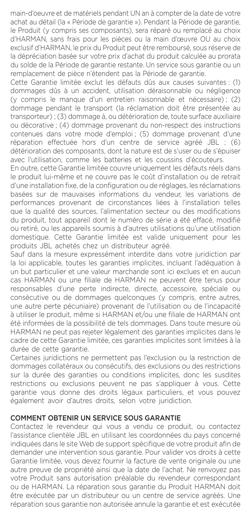main-d'oeuvre et de matériels pendant UN an à compter de la date de votre achat au détail (la « Période de garantie »). Pendant la Période de garantie, le Produit (y compris ses composants), sera réparé ou remplacé au choix d'HARMAN, sans frais pour les pièces ou la main d'œuvre OU au choix exclusif d'HARMAN, le prix du Produit peut être remboursé, sous réserve de la dépréciation basée sur votre prix d'achat du produit calculée au prorata du solde de la Période de garantie restante. Un service sous garantie ou un remplacement de pièce n'étendent pas la Période de garantie.

Cette Garantie limitée exclut les défauts dûs aux causes suivantes : (1) dommages dûs à un accident, utilisation déraisonnable ou négligence (y compris le manque d'un entretien raisonnable et nécessaire) ; (2) dommage pendant le transport (la réclamation doit être présentée au transporteur) ; (3) dommage à, ou détérioration de, toute surface auxiliaire ou décorative ; (4) dommage provenant du non-respect des instructions contenues dans votre mode d'emploi ; (5) dommage provenant d'une réparation effectuée hors d'un centre de service agréé JBL ; (6) détérioration des composants, dont la nature est de s'user ou de s'épuiser avec l'utilisation, comme les batteries et les coussins d'écouteurs.

En outre, cette Garantie limitée couvre uniquement les défauts réels dans le produit lui-même et ne couvre pas le coût d'installation ou de retrait d'une installation fixe, de la configuration ou de réglages, les réclamations basées sur de mauvaises informations du vendeur, les variations de performances provenant de circonstances liées à l'installation telles que la qualité des sources, l'alimentation secteur ou des modifications du produit, tout appareil dont le numéro de série a été effacé, modifié ou retiré, ou les appareils soumis à d'autres utilisations qu'une utilisation domestique. Cette Garantie limitée est valide uniquement pour les produits JBL achetés chez un distributeur agréé.

Sauf dans la mesure expressément interdite dans votre juridiction par la loi applicable, toutes les garanties implicites, incluant l'adéquation à un but particulier et une valeur marchande sont ici exclues et en aucun cas HARMAN ou une filiale de HARMAN ne peuvent être tenus pour responsables d'une perte indirecte, directe, accessoire, spéciale ou consécutive ou de dommages quelconques (y compris, entre autres, une autre perte pécuniaire) provenant de l'utilisation ou de l'incapacité à utiliser le produit, même si HARMAN et/ou une filiale de HARMAN ont été informées de la possibilité de tels dommages. Dans toute mesure où HARMAN ne peut pas rejeter légalement des garanties implicites dans le cadre de cette Garantie limitée, ces garanties implicites sont limitées à la durée de cette garantie.

Certaines juridictions ne permettent pas l'exclusion ou la restriction de dommages collatéraux ou consécutifs, des exclusions ou des restrictions sur la durée des garanties ou conditions implicites, donc les susdites restrictions ou exclusions peuvent ne pas s'appliquer à vous. Cette garantie vous donne des droits légaux particuliers, et vous pouvez également avoir d'autres droits, selon votre juridiction.

#### COMMENT OBTENIR UN SERVICE SOUS GARANTIE

Contactez le revendeur qui vous a vendu ce produit, ou contactez l'assistance clientèle JBL en utilisant les coordonnées du pays concerné indiquées dans le site Web de support spécifique de votre produit afin de demander une intervention sous garantie. Pour valider vos droits à cette Garantie limitée, vous devez fournir la facture de vente originale ou une autre preuve de propriété ainsi que la date de l'achat. Ne renvoyez pas votre Produit sans autorisation préalable du revendeur correspondant ou de HARMAN. La réparation sous garantie du Produit HARMAN doit être exécutée par un distributeur ou un centre de service agréés. Une réparation sous garantie non autorisée annule la garantie et est exécutée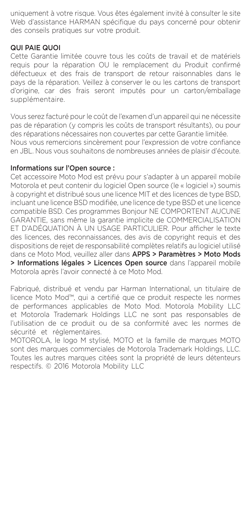uniquement à votre risque. Vous êtes également invité à consulter le site Web d'assistance HARMAN spécifique du pays concerné pour obtenir des conseils pratiques sur votre produit.

#### QUI PAIE QUOI

Cette Garantie limitée couvre tous les coûts de travail et de matériels requis pour la réparation OU le remplacement du Produit confirmé défectueux et des frais de transport de retour raisonnables dans le pays de la réparation. Veillez à conserver le ou les cartons de transport d'origine, car des frais seront imputés pour un carton/emballage supplémentaire.

Vous serez facturé pour le coût de l'examen d'un appareil qui ne nécessite pas de réparation (y compris les coûts de transport résultants), ou pour des réparations nécessaires non couvertes par cette Garantie limitée. Nous vous remercions sincèrement pour l'expression de votre confiance en JBL. Nous vous souhaitons de nombreuses années de plaisir d'écoute.

### Informations sur l'Open source :

Cet accessoire Moto Mod est prévu pour s'adapter à un appareil mobile Motorola et peut contenir du logiciel Open source (le « logiciel ») soumis à copyright et distribué sous une licence MIT et des licences de type BSD, incluant une licence BSD modifiée, une licence de type BSD et une licence compatible BSD. Ces programmes Bonjour NE COMPORTENT AUCUNE GARANTIE, sans même la garantie implicite de COMMERCIALISATION ET D'ADÉQUATION À UN USAGE PARTICULIER. Pour afficher le texte des licences, des reconnaissances, des avis de copyright requis et des dispositions de rejet de responsabilité complètes relatifs au logiciel utilisé dans ce Moto Mod, veuillez aller dans APPS > Paramètres > Moto Mods > Informations légales > Licences Open source dans l'appareil mobile Motorola après l'avoir connecté à ce Moto Mod.

Fabriqué, distribué et vendu par Harman International, un titulaire de licence Moto Mod™, qui a certifié que ce produit respecte les normes de performances applicables de Moto Mod. Motorola Mobility LLC et Motorola Trademark Holdings LLC ne sont pas responsables de l'utilisation de ce produit ou de sa conformité avec les normes de sécurité et réglementaires.

MOTOROLA, le logo M stylisé, MOTO et la famille de marques MOTO sont des marques commerciales de Motorola Trademark Holdings, LLC. Toutes les autres marques citées sont la propriété de leurs détenteurs respectifs. © 2016 Motorola Mobility LLC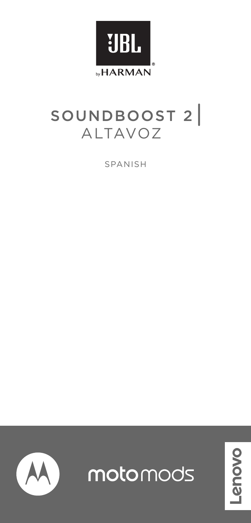

# SOUNDBOOST 2

SPANISH



motomods

**DOVO**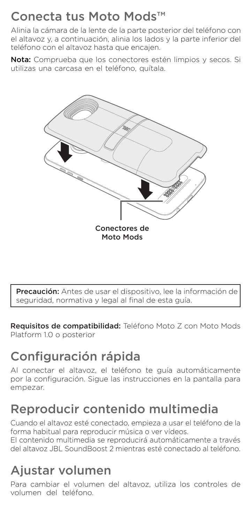## Conecta tus Moto Mods™

Alinia la cámara de la lente de la parte posterior del teléfono con el altavoz y, a continuación, alinia los lados y la parte inferior del teléfono con el altavoz hasta que encajen.

Nota: Comprueba que los conectores estén limpios y secos. Si utilizas una carcasa en el teléfono, quítala.



Precaución: Antes de usar el dispositivo, lee la información de seguridad, normativa y legal al final de esta guía.

Requisitos de compatibilidad: Teléfono Moto Z con Moto Mods Platform 1.0 o posterior

# Configuración rápida

Al conectar el altavoz, el teléfono te guía automáticamente por la configuración. Sigue las instrucciones en la pantalla para empezar.

## Reproducir contenido multimedia

Cuando el altavoz esté conectado, empieza a usar el teléfono de la forma habitual para reproducir música o ver vídeos.

El contenido multimedia se reproducirá automáticamente a través del altavoz JBL SoundBoost 2 mientras esté conectado al teléfono.

# Ajustar volumen

Para cambiar el volumen del altavoz, utiliza los controles de volumen del teléfono.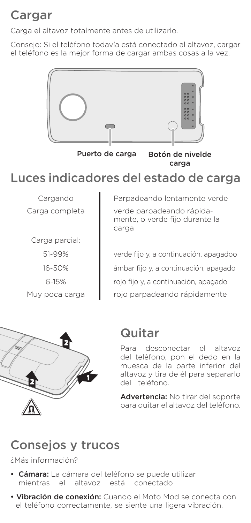## Cargar

Carga el altavoz totalmente antes de utilizarlo.

Consejo: Si el teléfono todavía está conectado al altavoz, cargar el teléfono es la mejor forma de cargar ambas cosas a la vez.



Puerto de carga Botón de nivelde carga

## Luces indicadores del estado de carga

Carga parcial: 51-99% 16-50% 6-15%

Cargando **I** Parpadeando lentamente verde Carga completa verde parpadeando rápidamente, o verde fijo durante la carga

verde fijo y, a continuación, apagadoo ámbar fijo y, a continuación, apagado rojo fijo y, a continuación, apagado Muy poca carga rojo parpadeando rápidamente



## Quitar

Para desconectar el altavoz del teléfono, pon el dedo en la muesca de la parte inferior del altavoz y tira de él para separarlo del teléfono.

Advertencia: No tirar del soporte para quitar el altavoz del teléfono.

## Consejos y trucos

¿Más información?

- Cámara: La cámara del teléfono se puede utilizar mientras el altavoz está conectado
- Vibración de conexión: Cuando el Moto Mod se conecta con el teléfono correctamente, se siente una ligera vibración.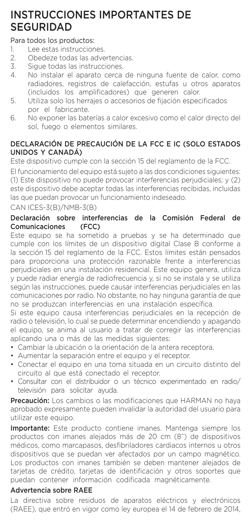## INSTRUCCIONES IMPORTANTES DE **SEGURIDAD**

## Para todos los productos:

- 1. Lee estas instrucciones.<br>2. Obedeze todas las adve
- 2. Obedeze todas las advertencias.<br>3. Sigue todas las instrucciones
- 3. Sigue todas las instrucciones.<br>4. No instalar el aparato cerca
- No instalar el aparato cerca de ninguna fuente de calor, como radiadores, registros de calefacción, estufas u otros aparatos (incluidos los amplificadores) que generen calor.
- 5. Utiliza solo los herrajes o accesorios de fijación especificados por el fabricante.
- 6. No exponer las baterías a calor excesivo como el calor directo del sol, fuego o elementos similares.

## DECLARACIÓN DE PRECAUCIÓN DE LA FCC E IC (SOLO ESTADOS UNIDOS Y CANADÁ)

Este dispositivo cumple con la sección 15 del reglamento de la FCC.

El funcionamiento del equipo está sujeto a las dos condiciones siguientes: (1) Este dispositivo no puede provocar interferencias perjudiciales; y (2) este dispositivo debe aceptar todas las interferencias recibidas, incluidas las que puedan provocar un funcionamiento indeseado.

CAN ICES-3(B)/NMB-3(B)

## Declaración sobre interferencias de la Comisión Federal de<br>Comunicaciones (FCC) Comunicaciones

Este equipo se ha sometido a pruebas y se ha determinado que cumple con los límites de un dispositivo digital Clase B conforme a la sección 15 del reglamento de la FCC. Estos límites están pensados para proporciona una protección razonable frente a interferencias perjudiciales en una instalación residencial. Este equipo genera, utiliza y puede radiar energía de radiofrecuencia y, si no se instala y se utiliza según las instrucciones, puede causar interferencias perjudiciales en las comunicaciones por radio. No obstante, no hay ninguna garantía de que no se produzcan interferencias en una instalación específica.

Si este equipo causa interferencias perjudiciales en la recepción de radio o televisión, lo cual se puede determinar encendiendo y apagando el equipo, se anima al usuario a tratar de corregir las interferencias aplicando una o más de las medidas siguientes:

- Cambiar la ubicación o la orientación de la antera receptora.
- Aumentar la separación entre el equipo y el receptor.
- Conectar el equipo en una toma situada en un circuito distinto del circuito al que está conectado el receptor.
- Consultar con el distribuidor o un técnico experimentado en radio/ televisión para solicitar ayuda.

Precaución: Los cambios o las modificaciones que HARMAN no hava aprobado expresamente pueden invalidar la autoridad del usuario para utilizar este equipo.

Importante: Este producto contiene imanes. Mantenga siempre los productos con imanes alejados más de 20 cm (8") de dispositivos médicos, como marcapasos, desfibriladores cardiacos internos u otros dispositivos que se puedan ver afectados por un campo magnético. Los productos con imanes también se deben mantener alejados de tarjetas de crédito, tarjetas de identificación y otros soportes que puedan contener información codificada magnéticamente.

## Advertencia sobre RAEE

La directiva sobre residuos de aparatos eléctricos y electrónicos (RAEE), que entró en vigor como ley europea el 14 de febrero de 2014,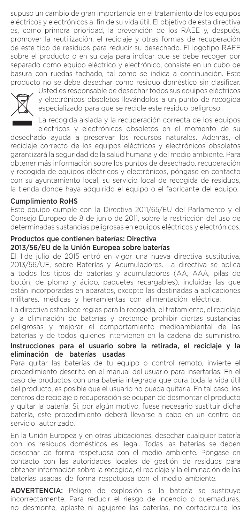supuso un cambio de gran importancia en el tratamiento de los equipos eléctricos y electrónicos al fin de su vida útil. El objetivo de esta directiva es, como primera prioridad, la prevención de los RAEE y, después, promover la reutilización, el reciclaje y otras formas de recuperación de este tipo de residuos para reducir su desechado. El logotipo RAEE sobre el producto o en su caja para indicar que se debe recoger por separado como equipo eléctrico y electrónico, consiste en un cubo de basura con ruedas tachado, tal como se indica a continuación. Este producto no se debe desechar como residuo doméstico sin clasificar.



Usted es responsable de desechar todos sus equipos eléctricos y electrónicos obsoletos llevándolos a un punto de recogida especializado para que se recicle este residuo peligroso.

La recogida aislada y la recuperación correcta de los equipos eléctricos y electrónicos obsoletos en el momento de su

desechado ayuda a preservar los recursos naturales. Además, el reciclaje correcto de los equipos eléctricos y electrónicos obsoletos garantizará la seguridad de la salud humana y del medio ambiente. Para obtener más información sobre los puntos de desechado, recuperación y recogida de equipos eléctricos y electrónicos, póngase en contacto con su ayuntamiento local, su servicio local de recogida de residuos, la tienda donde haya adquirido el equipo o el fabricante del equipo.

## Cumplimiento RoHS

Este equipo cumple con la Directiva 2011/65/EU del Parlamento y el Consejo Europeo de 8 de junio de 2011, sobre la restricción del uso de determinadas sustancias peligrosas en equipos eléctricos y electrónicos.

#### Productos que contienen baterías: Directiva 2013/56/EU de la Unión Europea sobre baterías

El 1 de julio de 2015 entró en vigor una nueva directiva sustitutiva, 2013/56/UE, sobre Baterías y Acumuladores. La directiva se aplica a todos los tipos de baterías y acumuladores (AA, AAA, pilas de botón, de plomo y ácido, paquetes recargables), incluidas las que están incorporadas en aparatos, excepto las destinadas a aplicaciones militares, médicas y herramientas con alimentación eléctrica.

La directiva establece reglas para la recogida, el tratamiento, el reciclaje y la eliminación de baterías y pretende prohibir ciertas sustancias peligrosas y mejorar el comportamiento medioambiental de las baterías y de todos quienes intervienen en la cadena de suministro.

## Instrucciones para el usuario sobre la retirada, el reciclaje y la eliminación de baterías usadas

Para quitar las baterías de tu equipo o control remoto, invierte el procedimiento descrito en el manual del usuario para insertarlas. En el caso de productos con una batería integrada que dura toda la vida útil del producto, es posible que el usuario no pueda quitarla. En tal caso, los centros de reciclaje o recuperación se ocupan de desmontar el producto y quitar la batería. Si, por algún motivo, fuese necesario sustituir dicha batería, este procedimiento deberá llevarse a cabo en un centro de servicio autorizado.

En la Unión Europea y en otras ubicaciones, desechar cualquier batería con los residuos domésticos es ilegal. Todas las baterías se deben desechar de forma respetuosa con el medio ambiente. Póngase en contacto con las autoridades locales de gestión de residuos para obtener información sobre la recogida, el reciclaje y la eliminación de las baterías usadas de forma respetuosa con el medio ambiente.

ADVERTENCIA: Peligro de explosión si la batería se sustituye incorrectamente. Para reducir el riesgo de incendio o quemaduras, no desmonte, aplaste ni agujeree las baterías, no cortocircuite los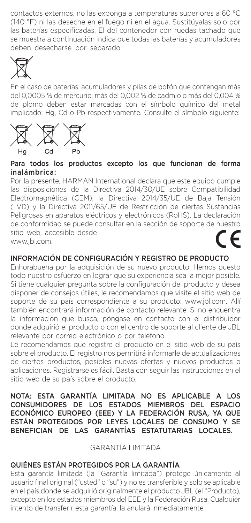contactos externos, no las exponga a temperaturas superiores a 60 °C (140 °F) ni las deseche en el fuego ni en el agua. Sustitúyalas solo por las baterías especificadas. El del contenedor con ruedas tachado que se muestra a continuación indica que todas las baterías y acumuladores deben desecharse por separado.



En el caso de baterías, acumuladores y pilas de botón que contengan más del 0,0005 % de mercurio, más del 0,002 % de cadmio o más del 0,004 % de plomo deben estar marcadas con el símbolo químico del metal implicado: Hg, Cd o Pb respectivamente. Consulte el símbolo siguiente:



## Para todos los productos excepto los que funcionan de forma inalámbrica:

Por la presente, HARMAN International declara que este equipo cumple las disposiciones de la Directiva 2014/30/UE sobre Compatibilidad Electromagnética (CEM), la Directiva 2014/35/UE de Baja Tensión (LVD) y la Directiva 2011/65/UE de Restricción de ciertas Sustancias Peligrosas en aparatos eléctricos y electrónicos (RoHS). La declaración de conformidad se puede consultar en la sección de soporte de nuestro sitio web, accesible desde www.jbl.com.

## INFORMACIÓN DE CONFIGURACIÓN Y REGISTRO DE PRODUCTO

Enhorabuena por la adquisición de su nuevo producto. Hemos puesto todo nuestro esfuerzo en lograr que su experiencia sea la mejor posible. Si tiene cualquier pregunta sobre la configuración del producto y desea disponer de consejos útiles, le recomendamos que visite el sitio web de soporte de su país correspondiente a su producto: www.jbl.com. Allí también encontrará información de contacto relevante. Si no encuentra la información que busca, póngase en contacto con el distribuidor donde adquirió el producto o con el centro de soporte al cliente de JBL relevante por correo electrónico o por teléfono.

Le recomendamos que registre el producto en el sitio web de su país sobre el producto. El registro nos permitirá informarle de actualizaciones de ciertos productos, posibles nuevas ofertas y nuevos productos o aplicaciones. Registrarse es fácil. Basta con seguir las instrucciones en el sitio web de su país sobre el producto.

NOTA: ESTA GARANTÍA LIMITADA NO ES APLICABLE A LOS CONSUMIDORES DE LOS ESTADOS MIEMBROS DEL ESPACIO ECONÓMICO EUROPEO (EEE) Y LA FEDERACIÓN RUSA, YA QUE ESTÁN PROTEGIDOS POR LEYES LOCALES DE CONSUMO Y SE BENEFICIAN DE LAS GARANTÍAS ESTATUTARIAS LOCALES.

GARANTÍA LIMITADA

## QUIÉNES ESTÁN PROTEGIDOS POR LA GARANTÍA

Esta garantía limitada (la "Garantía limitada") protege únicamente al usuario final original ("usted" o "su") y no es transferible y solo se aplicable en el país donde se adquirió originalmente el producto JBL (el "Producto), excepto en los estados miembros del EEE y la Federación Rusa. Cualquier intento de transferir esta garantía, la anulará inmediatamente.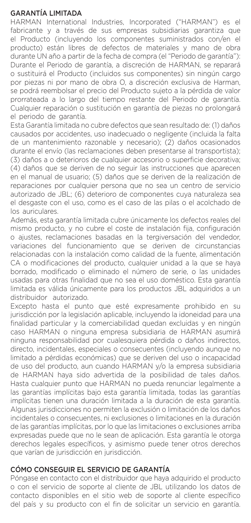## GARANTÍA LIMITADA

HARMAN International Industries, Incorporated ("HARMAN") es el fabricante y a través de sus empresas subsidiarias garantiza que el Producto (incluyendo los componentes suministrados con/en el producto) están libres de defectos de materiales y mano de obra durante UN año a partir de la fecha de compra (el "Periodo de garantía"): Durante el Periodo de garantía, a discreción de HARMAN, se reparará o sustituirá el Producto (incluidos sus componentes) sin ningún cargo por piezas ni por mano de obra O, a discreción exclusiva de Harman, se podrá reembolsar el precio del Producto sujeto a la pérdida de valor prorrateada a lo largo del tiempo restante del Periodo de garantía. Cualquier reparación o sustitución en garantía de piezas no prolongará el periodo de garantía.

Esta Garantía limitada no cubre defectos que sean resultado de: (1) daños causados por accidentes, uso inadecuado o negligente (incluida la falta de un mantenimiento razonable y necesario); (2) daños ocasionados durante el envío (las reclamaciones deben presentarse al transportista); (3) daños a o deterioros de cualquier accesorio o superficie decorativa; (4) daños que se deriven de no seguir las instrucciones que aparecen en el manual de usuario; (5) daños que se deriven de la realización de reparaciones por cualquier persona que no sea un centro de servicio autorizado de JBL; (6) deterioro de componentes cuya naturaleza sea el desgaste con el uso, como es el caso de las pilas o el acolchado de los auriculares.

Además, esta garantía limitada cubre únicamente los defectos reales del mismo producto, y no cubre el coste de instalación fija, configuración o ajustes, reclamaciones basadas en la tergiversación del vendedor, variaciones del funcionamiento que se deriven de circunstancias relacionadas con la instalación como calidad de la fuente, alimentación CA o modificaciones del producto, cualquier unidad a la que se haya borrado, modificado o eliminado el número de serie, o las unidades usadas para otras finalidad que no sea el uso doméstico. Esta garantía limitada es válida únicamente para los productos JBL adquiridos a un distribuidor autorizado.

Excepto hasta el punto que esté expresamente prohibido en su jurisdicción por la legislación aplicable, incluyendo la idoneidad para una finalidad particular y la comerciabilidad quedan excluidas y en ningún caso HARMAN o ninguna empresa subsidiaria de HARMAN asumirá ninguna responsabilidad por cualesquiera pérdida o daños indirectos, directo, incidentales, especiales o consecuentes (incluyendo aunque no limitado a pérdidas económicas) que se deriven del uso o incapacidad de uso del producto, aun cuando HARMAN y/o la empresa subsidiaria de HARMAN haya sido advertida de la posibilidad de tales daños. Hasta cualquier punto que HARMAN no pueda renunciar legalmente a las garantías implícitas bajo esta garantía limitada, todas las garantías implícitas tienen una duración limitada a la duración de esta garantía. Algunas jurisdicciones no permiten la exclusión o limitación de los daños incidentales o consecuentes, ni exclusiones o limitaciones en la duración de las garantías implícitas, por lo que las limitaciones o exclusiones arriba expresadas puede que no le sean de aplicación. Esta garantía le otorga derechos legales específicos, y asimismo puede tener otros derechos que varían de jurisdicción en jurisdicción.

## CÓMO CONSEGUIR EL SERVICIO DE GARANTÍA

Póngase en contacto con el distribuidor que haya adquirido el producto o con el servicio de soporte al cliente de JBL utilizando los datos de contacto disponibles en el sitio web de soporte al cliente específico del país y su producto con el fin de solicitar un servicio en garantía.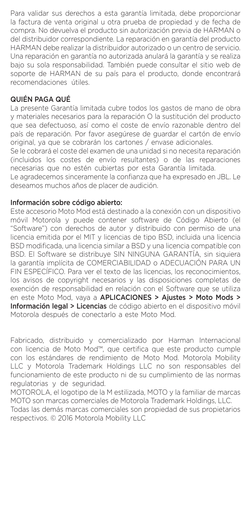Para validar sus derechos a esta garantía limitada, debe proporcionar la factura de venta original u otra prueba de propiedad y de fecha de compra. No devuelva el producto sin autorización previa de HARMAN o del distribuidor correspondiente. La reparación en garantía del producto HARMAN debe realizar la distribuidor autorizado o un centro de servicio. Una reparación en garantía no autorizada anulará la garantía y se realiza bajo su sola responsabilidad. También puede consultar el sitio web de soporte de HARMAN de su país para el producto, donde encontrará recomendaciones útiles.

## QUIÉN PAGA QUÉ

La presente Garantía limitada cubre todos los gastos de mano de obra y materiales necesarios para la reparación O la sustitución del producto que sea defectuoso, así como el coste de envío razonable dentro del país de reparación. Por favor asegúrese de guardar el cartón de envío original, ya que se cobrarán los cartones / envase adicionales.

Se le cobrará el coste del examen de una unidad si no necesita reparación (incluidos los costes de envío resultantes) o de las reparaciones necesarias que no estén cubiertas por esta Garantía limitada.

Le agradecemos sinceramente la confianza que ha expresado en JBL. Le deseamos muchos años de placer de audición.

## Información sobre código abierto:

Este accesorio Moto Mod está destinado a la conexión con un dispositivo móvil Motorola y puede contener software de Código Abierto (el "Software") con derechos de autor y distribuido con permiso de una licencia emitida por el MIT y licencias de tipo BSD, incluida una licencia BSD modificada, una licencia similar a BSD y una licencia compatible con BSD. El Software se distribuye SIN NINGUNA GARANTÍA, sin siquiera la garantía implícita de COMERCIABILIDAD o ADECUACIÓN PARA UN FIN ESPECÍFICO. Para ver el texto de las licencias, los reconocimientos, los avisos de copyright necesarios y las disposiciones completas de exención de responsabilidad en relación con el Software que se utiliza en este Moto Mod, vaya a APLICACIONES > Ajustes > Moto Mods > Información legal > Licencias de código abierto en el dispositivo móvil Motorola después de conectarlo a este Moto Mod.

Fabricado, distribuido y comercializado por Harman Internacional con licencia de Moto Mod™, que certifica que este producto cumple con los estándares de rendimiento de Moto Mod. Motorola Mobility LLC y Motorola Trademark Holdings LLC no son responsables del funcionamiento de este producto ni de su cumplimiento de las normas regulatorias y de seguridad.

MOTOROLA, el logotipo de la M estilizada, MOTO y la familiar de marcas MOTO son marcas comerciales de Motorola Trademark Holdings, LLC.

Todas las demás marcas comerciales son propiedad de sus propietarios respectivos. © 2016 Motorola Mobility LLC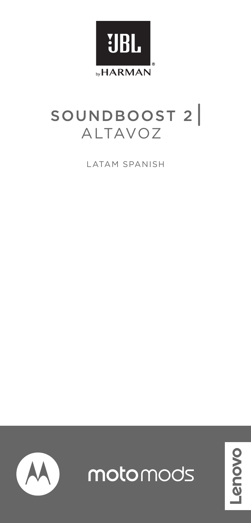

# SOUNDBOOST 2

LATAM SPANISH



motomods

**NOVO**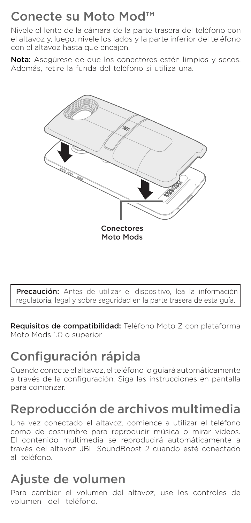## Conecte su Moto Mod™

Nivele el lente de la cámara de la parte trasera del teléfono con el altavoz y, luego, nivele los lados y la parte inferior del teléfono con el altavoz hasta que encajen.

Nota: Asegúrese de que los conectores estén limpios y secos. Además, retire la funda del teléfono si utiliza una.



Precaución: Antes de utilizar el dispositivo, lea la información regulatoria, legal y sobre seguridad en la parte trasera de esta guía.

Requisitos de compatibilidad: Teléfono Moto Z con plataforma Moto Mods 1.0 o superior

# Configuración rápida

Cuando conecte el altavoz, el teléfono lo guiará automáticamente a través de la configuración. Siga las instrucciones en pantalla para comenzar.

## Reproducción de archivos multimedia

Una vez conectado el altavoz, comience a utilizar el teléfono como de costumbre para reproducir música o mirar videos. El contenido multimedia se reproducirá automáticamente a través del altavoz JBL SoundBoost 2 cuando esté conectado al teléfono.

## Ajuste de volumen

Para cambiar el volumen del altavoz, use los controles de volumen del teléfono.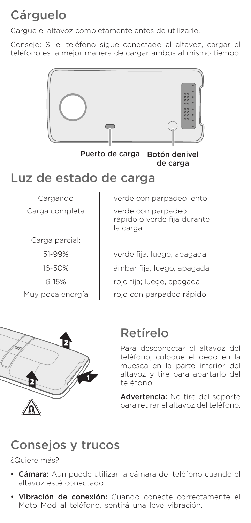# **Cárguelo**

Cargue el altavoz completamente antes de utilizarlo.

Consejo: Si el teléfono sigue conectado al altavoz, cargar el teléfono es la mejor manera de cargar ambos al mismo tiempo.



Puerto de carga Botón denivel de carga

## Luz de estado de carga

Carga parcial: 51-99% 16-50% 6-15%

Cargando verde con parpadeo lento Carga completa verde con parpadeo rápido o verde fija durante la carga

verde fija; luego, apagada ámbar fija; luego, apagada rojo fija; luego, apagada Muy poca energía | rojo con parpadeo rápido



## Retírelo

Para desconectar el altavoz del teléfono, coloque el dedo en la muesca en la parte inferior del altavoz y tire para apartarlo del teléfono.

Advertencia: No tire del soporte para retirar el altavoz del teléfono.

## Consejos y trucos

¿Quiere más?

- Cámara: Aún puede utilizar la cámara del teléfono cuando el altavoz esté conectado.
- Vibración de conexión: Cuando conecte correctamente el Moto Mod al teléfono, sentirá una leve vibración.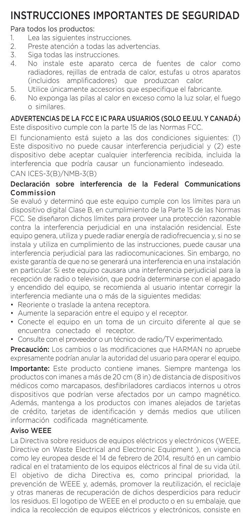## INSTRUCCIONES IMPORTANTES DE SEGURIDAD

## Para todos los productos:

- 1. Lea las siguientes instrucciones.<br>2. Preste atención a todas las adve
- 2. Preste atención a todas las advertencias.<br>3. Siga todas las instrucciones
- 3. Siga todas las instrucciones.<br>4. No instale este aparato
- 4. No instale este aparato cerca de fuentes de calor como radiadores, rejillas de entrada de calor, estufas u otros aparatos (incluidos amplificadores) que produzcan calor.
- 5. Utilice únicamente accesorios que especifique el fabricante.
- 6. No exponga las pilas al calor en exceso como la luz solar, el fuego o similares.

## ADVERTENCIAS DE LA FCC E IC PARA USUARIOS (SOLO EE.UU. Y CANADÁ)

Este dispositivo cumple con la parte 15 de las Normas FCC.

El funcionamiento está sujeto a las dos condiciones siguientes: (1) Este dispositivo no puede causar interferencia perjudicial y (2) este dispositivo debe aceptar cualquier interferencia recibida, incluida la interferencia que podría causar un funcionamiento indeseado. CAN ICES-3(B)/NMB-3(B)

## Declaración sobre interferencia de la Federal Communications Commission

Se evaluó y determinó que este equipo cumple con los límites para un dispositivo digital Clase B, en cumplimiento de la Parte 15 de las Normas FCC. Se diseñaron dichos límites para proveer una protección razonable contra la interferencia perjudicial en una instalación residencial. Este equipo genera, utiliza y puede radiar energía de radiofrecuencia y, si no se instala y utiliza en cumplimiento de las instrucciones, puede causar una interferencia perjudicial para las radiocomunicaciones. Sin embargo, no existe garantía de que no se generará una interferencia en una instalación en particular. Si este equipo causara una interferencia perjudicial para la recepción de radio o televisión, que podría determinarse con el apagado y encendido del equipo, se recomienda al usuario intentar corregir la interferencia mediante una o más de la siguientes medidas:

- Reoriente o traslade la antena receptora.
- Aumente la separación entre el equipo y el receptor.
- Conecte el equipo en un toma de un circuito diferente al que se encuentra conectado el receptor.
- Consulte con el proveedor o un técnico de radio/TV experimentado.

Precaución: Los cambios o las modificaciones que HARMAN no apruebe expresamente podrían anular la autoridad del usuario para operar el equipo.

Importante: Este producto contiene imanes. Siempre mantenga los productos con imanes a más de 20 cm (8 in) de distancia de dispositivos médicos como marcapasos, desfibriladores cardiacos internos u otros dispositivos que podrían verse afectados por un campo magnético. Además, mantenga a los productos con imanes alejados de tarjetas de crédito, tarjetas de identificación y demás medios que utilicen información codificada magnéticamente.

## Aviso WEEE

La Directiva sobre residuos de equipos eléctricos y electrónicos (WEEE, Directive on Waste Electrical and Electronic Equipment ), en vigencia como ley europea desde el 14 de febrero de 2014, resultó en un cambio radical en el tratamiento de los equipos eléctricos al final de su vida útil. El objetivo de dicha Directiva es, como principal prioridad, la prevención de WEEE y, además, promover la reutilización, el reciclaje y otras maneras de recuperación de dichos desperdicios para reducir los residuos. El logotipo de WEEE en el producto o en su embalaje, que indica la recolección de equipos eléctricos y electrónicos, consiste en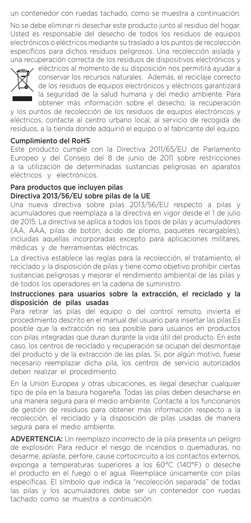un contenedor con ruedas tachado, como se muestra a continuación.

No se debe eliminar ni desechar este producto junto al residuo del hogar. Usted es responsable del desecho de todos los residuos de equipos electrónicos o eléctricos mediante su traslado a los puntos de recolección específicos para dichos residuos peligrosos. Una recolección aislada y una recuperación correcta de los residuos de dispositivos electrónicos y



eléctricos al momento de su disposición nos permitirá ayudar a conservar los recursos naturales. Además, el reciclaje correcto de los residuos de equipos electrónicos y eléctricos garantizará la seguridad de la salud humana y del medio ambiente. Para obtener más información sobre el desecho, la recuperación

y los puntos de recolección de los residuos de equipos electrónicos y eléctricos, contacte al centro urbano local, al servicio de recogida de residuos, a la tienda donde adquirió el equipo o al fabricante del equipo.

#### Cumplimiento del RoHS

Este producto cumple con la Directiva 2011/65/EU de Parlamento Europeo y del Consejo del 8 de junio de 2011 sobre restricciones a la utilización de determinadas sustancias peligrosas en aparatos eléctricos y electrónicos.

#### Para productos que incluyen pilas Directiva 2013/56/EU sobre pilas de la UE

Una nueva directiva sobre pilas 2013/56/EU respecto a pilas y acumuladores que reemplaza a la directiva en vigor desde el 1 de julio de 2015. La directiva se aplica a todos los tipos de pilas y acumuladores (AA, AAA, pilas de botón, ácido de plomo, paquetes recargables), incluidas aquellas incorporadas excepto para aplicaciones militares, médicas y de herramientas eléctricas.

La directiva establece las reglas para la recolección, el tratamiento, el reciclado y la disposición de pilas y tiene como objetivo prohibir ciertas sustancias peligrosas y mejorar el rendimiento ambiental de las pilas y de todos los operadores en la cadena de suministro.

#### Instrucciones para usuarios sobre la extracción, el reciclado y la disposición de pilas usadas

Para retirar las pilas del equipo o del control remoto, invierta el procedimiento descrito en el manual del usuario para insertar las pilas.Es posible que la extracción no sea posible para usuarios en productos con pilas integradas que duran durante la vida útil del producto. En este caso, los centros de reciclado y recuperación se ocupan del desmontaje del producto y de la extracción de las pilas. Si, por algún motivo, fuese necesario reemplazar dicha pila, los centros de servicio autorizados deben realizar el procedimiento.

En la Unión Europea y otras ubicaciones, es ilegal desechar cualquier tipo de pila en la basura hogareña. Todas las pilas deben desecharse en una manera segura para el medio ambiente. Contacte a los funcionarios de gestión de residuos para obtener más información respecto a la recolección, el reciclado y la disposición de pilas usadas de manera segura para el medio ambiente.

ADVERTENCIA: Un reemplazo incorrecto de la pila presenta un peligro de explosión. Para reducir el riesgo de incendios o quemaduras, no desarme, aplaste, perfore, cause cortocircuito a los contactos externos, exponga a temperaturas superiores a los 60°C (140°F) o deseche el producto en el fuego o el agua. Reemplace únicamente con pilas específicas. El símbolo que indica la "recolección separada" de todas las pilas y los acumuladores debe ser un contenedor con ruedas tachado como se muestra a continuación: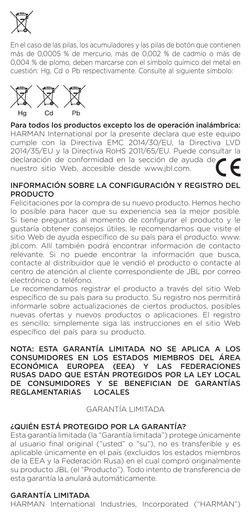

En el caso de las pilas, los acumuladores y las pilas de botón que contienen más de 0,0005 % de mercurio, más de 0,002 % de cadmio o más de 0,004 % de plomo, deben marcarse con el símbolo químico del metal en cuestión: Hg, Cd o Pb respectivamente. Consulte al siguiente símbolo:



## Para todos los productos excepto los de operación inalámbrica:

HARMAN International por la presente declara que este equipo cumple con la Directiva EMC 2014/30/EU, la Directiva LVD 2014/35/EU y la Directiva RoHS 2011/65/EU. Puede consultar la declaración de conformidad en la sección de ayuda de nuestro sitio Web, accesible desde www.jbl.com.

#### INFORMACIÓN SOBRE LA CONFIGURACIÓN Y REGISTRO DEL PRODUCTO

Felicitaciones por la compra de su nuevo producto. Hemos hecho lo posible para hacer que su experiencia sea la mejor posible. Si tiene preguntas al momento de configurar el producto y le gustaría obtener consejos útiles, le recomendamos que visite el sitio Web de ayuda específico de su país para el producto. www. jbl.com. Allí también podrá encontrar información de contacto relevante. Si no puede encontrar la información que busca, contacte al distribuidor que le vendió el producto o contacte al centro de atención al cliente correspondiente de JBL por correo electrónico o teléfono.

Le recomendamos registrar el producto a través del sitio Web específico de su país para su producto. Su registro nos permitirá informarle sobre actualizaciones de ciertos productos, posibles nuevas ofertas y nuevos productos o aplicaciones. El registro es sencillo; simplemente siga las instrucciones en el sitio Web específico del país para su producto.

## NOTA: ESTA GARANTÍA LIMITADA NO SE APLICA A LOS CONSUMIDORES EN LOS ESTADOS MIEMBROS DEL ÁREA<br>ECONÓMICA FUROPEA (FEA) Y LAS EFDERACIONES ECONÓMICA EUROPEA (EEA) Y RUSAS DADO QUE ESTÁN PROTEGIDOS POR LA LEY LOCAL DE CONSUMIDORES Y SE BENEFICIAN DE GARANTÍAS REGLAMENTARIAS LOCALES

#### GARANTÍA LIMITADA

## ¿QUIÉN ESTÁ PROTEGIDO POR LA GARANTÍA?

Esta garantía limitada (la "Garantía limitada") protege únicamente al usuario final original ("usted" o "su"), no es transferible y es aplicable únicamente en el país (excluidos los estados miembros de la EEA y la Federación Rusa) en el cual compró originalmente su producto JBL (el "Producto"). Todo intento de transferencia de esta garantía la anulará automáticamente.

## GARANTÍA LIMITADA

HARMAN International Industries, Incorporated ("HARMAN")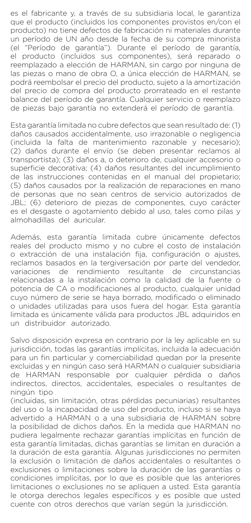es el fabricante y, a través de su subsidiaria local, le garantiza que el producto (incluidos los componentes provistos en/con el producto) no tiene defectos de fabricación ni materiales durante un período de UN año desde la fecha de su compra minorista (el "Período de garantía"). Durante el período de garantía, el producto (incluidos sus componentes), será reparado o reemplazado a elección de HARMAN, sin cargo por ninguna de las piezas o mano de obra O, a única elección de HARMAN, se podrá reembolsar el precio del producto, sujeto a la amortización del precio de compra del producto prorrateado en el restante balance del período de garantía. Cualquier servicio o reemplazo de piezas bajo garantía no extenderá el período de garantía.

Esta garantía limitada no cubre defectos que sean resultado de: (1) daños causados accidentalmente, uso irrazonable o negligencia (incluida la falta de mantenimiento razonable y necesario); (2) daños durante el envío (se deben presentar reclamos al transportista); (3) daños a, o deterioro de, cualquier accesorio o superficie decorativa; (4) daños resultantes del incumplimiento de las instrucciones contenidas en el manual del propietario; (5) daños causados por la realización de reparaciones en mano de personas que no sean centros de servicio autorizados de JBL; (6) deterioro de piezas de componentes, cuyo carácter es el desgaste o agotamiento debido al uso, tales como pilas y almohadillas del auricular.

Además, esta garantía limitada cubre únicamente defectos reales del producto mismo y no cubre el costo de instalación o extracción de una instalación fija, configuración o ajustes, reclamos basados en la tergiversación por parte del vendedor, variaciones de rendimiento resultante de circunstancias relacionadas a la instalación como la calidad de la fuente o potencia de CA o modificaciones al producto, cualquier unidad cuyo número de serie se haya borrado, modificado o eliminado o unidades utilizadas para usos fuera del hogar. Esta garantía limitada es únicamente válida para productos JBL adquiridos en un distribuidor autorizado.

Salvo disposición expresa en contrario por la ley aplicable en su jurisdicción, todas las garantías implícitas, incluida la adecuación para un fin particular y comerciabilidad quedan por la presente excluidas y en ningún caso será HARMAN o cualquier subsidiaria de HARMAN responsable por cualquier pérdida o daños indirectos, directos, accidentales, especiales o resultantes de ningún tipo

(incluidas, sin limitación, otras pérdidas pecuniarias) resultantes del uso o la incapacidad de uso del producto, incluso si se haya advertido a HARMAN o a una subsidiaria de HARMAN sobre la posibilidad de dichos daños. En la medida que HARMAN no pudiera legalmente rechazar garantías implícitas en función de esta garantía limitadas, dichas garantías se limitan en duración a la duración de esta garantía. Algunas jurisdicciones no permiten la exclusión o limitación de daños accidentales o resultantes o exclusiones o limitaciones sobre la duración de las garantías o condiciones implícitas, por lo que es posible que las anteriores limitaciones o exclusiones no se apliquen a usted. Esta garantía le otorga derechos legales específicos y es posible que usted cuente con otros derechos que varían según la jurisdicción.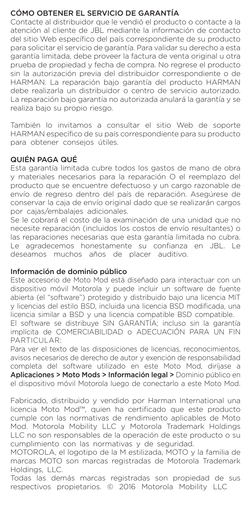## CÓMO OBTENER EL SERVICIO DE GARANTÍA

Contacte al distribuidor que le vendió el producto o contacte a la atención al cliente de JBL mediante la información de contacto del sitio Web específico del país correspondiente de su producto para solicitar el servicio de garantía. Para validar su derecho a esta garantía limitada, debe proveer la factura de venta original u otra prueba de propiedad y fecha de compra. No regrese el producto sin la autorización previa del distribuidor correspondiente o de HARMAN. La reparación bajo garantía del producto HARMAN debe realizarla un distribuidor o centro de servicio autorizado. La reparación bajo garantía no autorizada anulará la garantía y se realiza bajo su propio riesgo.

También lo invitamos a consultar el sitio Web de soporte HARMAN específico de su país correspondiente para su producto para obtener consejos útiles.

## QUIÉN PAGA QUÉ

Esta garantía limitada cubre todos los gastos de mano de obra y materiales necesarios para la reparación O el reemplazo del producto que se encuentre defectuoso y un cargo razonable de envío de regreso dentro del país de reparación. Asegúrese de conservar la caja de envío original dado que se realizarán cargos por cajas/embalajes adicionales.

Se le cobrará el costo de la examinación de una unidad que no necesite reparación (incluidos los costos de envío resultantes) o las reparaciones necesarias que esta garantía limitada no cubra. Le agradecemos honestamente su confianza en JBL. Le deseamos muchos años de placer auditivo.

## Información de dominio público

Este accesorio de Moto Mod está diseñado para interactuar con un dispositivo móvil Motorola y puede incluir un software de fuente abierta (el "software") protegido y distribuido bajo una licencia MIT y licencias del estilo BSD, incluida una licencia BSD modificada, una licencia similar a BSD y una licencia compatible BSD compatible. El software se distribuye SIN GARANTÍA; incluso sin la garantía implícita de COMERCIABILIDAD o ADECUACIÓN PARA UN FIN PARTICULAR:

Para ver el texto de las disposiciones de licencias, reconocimientos, avisos necesarios de derecho de autor y exención de responsabilidad completa del software utilizado en este Moto Mod, diríjase a Aplicaciones > Moto Mods > Información legal > Dominio público en el dispositivo móvil Motorola luego de conectarlo a este Moto Mod.

Fabricado, distribuido y vendido por Harman International una licencia Moto Mod™, quien ha certificado que este producto cumple con las normativas de rendimiento aplicables de Moto Mod. Motorola Mobility LLC y Motorola Trademark Holdings LLC no son responsables de la operación de este producto o su cumplimiento con las normativas y de seguridad.

MOTOROLA, el logotipo de la M estilizada, MOTO y la familia de marcas MOTO son marcas registradas de Motorola Trademark Holdings, LLC.

Todas las demás marcas registradas son propiedad de sus respectivos propietarios. © 2016 Motorola Mobility LLC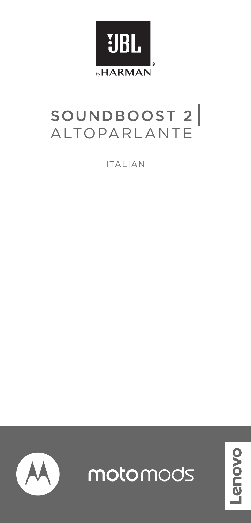

# SOUNDBOOST 2

ITALIAN



motomods

novo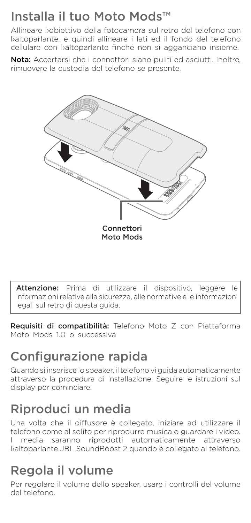## Installa il tuo Moto Mods™

Allineare l›obiettivo della fotocamera sul retro del telefono con l›altoparlante, e quindi allineare i lati ed il fondo del telefono cellulare con baltoparlante finché non si agganciano insieme.

Nota: Accertarsi che i connettori siano puliti ed asciutti. Inoltre, rimuovere la custodia del telefono se presente.



Attenzione: Prima di utilizzare il dispositivo, leggere le informazioni relative alla sicurezza, alle normative e le informazioni legali sul retro di questa guida.

Requisiti di compatibilità: Telefono Moto Z con Piattaforma Moto Mods 10 o successiva

# Configurazione rapida

Quando si inserisce lo speaker, il telefono vi guida automaticamente attraverso la procedura di installazione. Seguire le istruzioni sul display per cominciare.

## Riproduci un media

Una volta che il diffusore è collegato, iniziare ad utilizzare il telefono come al solito per riprodurre musica o guardare i video. I media saranno riprodotti automaticamente attraverso l›altoparlante JBL SoundBoost 2 quando è collegato al telefono.

## Regola il volume

Per regolare il volume dello speaker, usare i controlli del volume del telefono.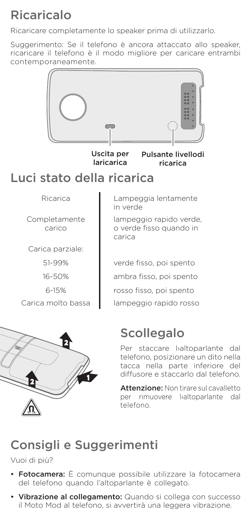# Ricaricalo

Ricaricare completamente lo speaker prima di utilizzarlo.

Suggerimento: Se il telefono è ancora attaccato allo speaker. ricaricare il telefono è il modo migliore per caricare entrambi contemporaneamente.



Carica molto bassa | lampeggio rapido rosso



Per staccare baltoparlante dal telefono, posizionare un dito nella tacca nella parte inferiore del diffusore e staccarlo dal telefono.

Attenzione: Non tirare sul cavalletto per rimuovere baltoparlante dal telefono.

## Consigli e Suggerimenti

Vuoi di più?

- Fotocamera: È comunque possibile utilizzare la fotocamera del telefono quando l'altoparlante è collegato.
- Vibrazione al collegamento: Quando si collega con successo il Moto Mod al telefono, si avvertirà una leggera vibrazione.

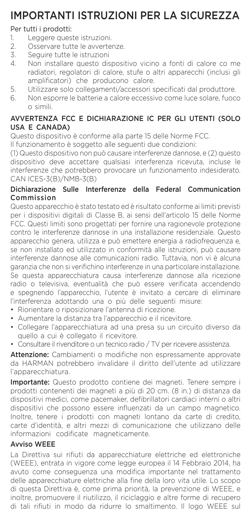## IMPORTANTI ISTRUZIONI PER LA SICUREZZA

## Per tutti i prodotti:

- 1. Leggere queste istruzioni.<br>2. Osservare tutte le avverte
- 2. Osservare tutte le avvertenze.<br>3. Sequire tutte le istruzioni
- 3. Seguire tutte le istruzioni<br>4. Non installare questo dis
- Non installare questo dispositivo vicino a fonti di calore co me radiatori, regolatori di calore, stufe o altri apparecchi (inclusi gli amplificatori) che producono calore.
- 5. Utilizzare solo collegamenti/accessori specificati dal produttore.
- 6. Non esporre le batterie a calore eccessivo come luce solare, fuoco o simili.

## AVVERTENZA FCC E DICHIARAZIONE IC PER GLI UTENTI (SOLO USA E CANADA)

Questo dispositivo è conforme alla parte 15 delle Norme FCC.

Il funzionamento è soggetto alle seguenti due condizioni:

(1) Questo dispositivo non può causare interferenze dannose, e (2) questo dispositivo deve accettare qualsiasi interferenza ricevuta, incluse le interferenze che potrebbero provocare un funzionamento indesiderato. CAN ICES-3(B)/NMB-3(B)

## Dichiarazione Sulle Interferenze della Federal Communication Commission

Questo apparecchio è stato testato ed è risultato conforme ai limiti previsti per i dispositivi digitali di Classe B, ai sensi dell'articolo 15 delle Norme FCC. Questi limiti sono progettati per fornire una ragionevole protezione contro le interferenze dannose in una installazione residenziale. Questo apparecchio genera, utilizza e può emettere energia a radiofrequenza e. se non installato ed utilizzato in conformità alle istruzioni, può causare interferenze dannose alle comunicazioni radio. Tuttavia, non vi è alcuna garanzia che non si verifichino interferenze in una particolare installazione. Se questa apparecchiatura causa interferenze dannose alla ricezione radio o televisiva, eventualità che può essere verificata accendendo e spegnendo l'apparecchio, l'utente è invitato a cercare di eliminare l'interferenza adottando una o più delle seguenti misure:

- Riorientare o riposizionare l'antenna di ricezione.
- Aumentare la distanza tra l'apparecchio e il ricevitore.
- Collegare l'apparecchiatura ad una presa su un circuito diverso da quello a cui è collegato il ricevitore.
- Consultare il rivenditore o un tecnico radio / TV per ricevere assistenza.

Attenzione: Cambiamenti o modifiche non espressamente approvate da HARMAN potrebbero invalidare il diritto dell'utente ad utilizzare l'apparecchiatura.

Importante: Questo prodotto contiene dei magneti. Tenere sempre i prodotti contenenti dei magneti a più di 20 cm. (8 in.) di distanza da dispositivi medici, come pacemaker, defibrillatori cardiaci interni o altri dispositivi che possono essere influenzati da un campo magnetico. Inoltre, tenere i prodotti con magneti lontano da carte di credito, carte d'identità, e altri mezzi di comunicazione che utilizzano delle informazioni codificate magneticamente.

## Avviso WEEE

La Direttiva sui rifiuti da apparecchiature elettriche ed elettroniche (WEEE), entrata in vigore come legge europea il 14 Febbraio 2014, ha avuto come conseguenza una modifica importante nel trattamento delle apparecchiature elettriche alla fine della loro vita utile. Lo scopo di questa Direttiva è, come prima priorità, la prevenzione di WEEE, e inoltre, promuovere il riutilizzo, il riciclaggio e altre forme di recupero di tali rifiuti in modo da ridurre lo smaltimento. Il logo WEEE sul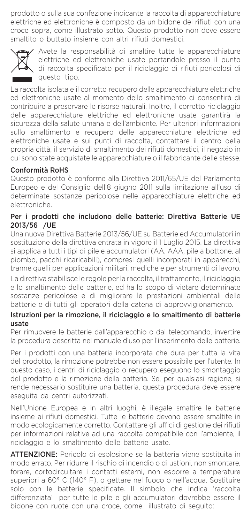prodotto o sulla sua confezione indicante la raccolta di apparecchiature elettriche ed elettroniche è composto da un bidone dei rifiuti con una croce sopra, come illustrato sotto. Questo prodotto non deve essere smaltito o buttato insieme con altri rifiuti domestici.



Avete la responsabilità di smaltire tutte le apparecchiature elettriche ed elettroniche usate portandole presso il punto di raccolta specificato per il riciclaggio di rifiuti pericolosi di questo tipo.

La raccolta isolata e il corretto recupero delle apparecchiature elettriche ed elettroniche usate al momento dello smaltimento ci consentirà di contribuire a preservare le risorse naturali. Inoltre, il corretto riciclaggio delle apparecchiature elettriche ed elettroniche usate garantirà la sicurezza della salute umana e dell'ambiente. Per ulteriori informazioni sullo smaltimento e recupero delle apparecchiature elettriche ed elettroniche usate e sui punti di raccolta, contattare il centro della propria città, il servizio di smaltimento dei rifiuti domestici, il negozio in cui sono state acquistate le apparecchiature o il fabbricante delle stesse.

## Conformità RoHS

Questo prodotto è conforme alla Direttiva 2011/65/UE del Parlamento Europeo e del Consiglio dell'8 giugno 2011 sulla limitazione all'uso di determinate sostanze pericolose nelle apparecchiature elettriche ed elettroniche.

#### Per i prodotti che includono delle batterie: Direttiva Batterie UE 2013/56 /UE

Una nuova Direttiva Batterie 2013/56/UE su Batterie ed Accumulatori in sostituzione della direttiva entrata in vigore il 1 Luglio 2015. La direttiva si applica a tutti i tipi di pile e accumulatori (AA, AAA, pile a bottone, al piombo, pacchi ricaricabili), compresi quelli incorporati in apparecchi, tranne quelli per applicazioni militari, mediche e per strumenti di lavoro. La direttiva stabilisce le regole per la raccolta, il trattamento, il riciclaggio e lo smaltimento delle batterie, ed ha lo scopo di vietare determinate sostanze pericolose e di migliorare le prestazioni ambientali delle batterie e di tutti gli operatori della catena di approvvigionamento.

## Istruzioni per la rimozione, il riciclaggio e lo smaltimento di batterie usate

Per rimuovere le batterie dall'apparecchio o dal telecomando, invertire la procedura descritta nel manuale d'uso per l'inserimento delle batterie.

Per i prodotti con una batteria incorporata che dura per tutta la vita del prodotto, la rimozione potrebbe non essere possibile per l'utente. In questo caso, i centri di riciclaggio o recupero eseguono lo smontaggio del prodotto e la rimozione della batteria. Se, per qualsiasi ragione, si rende necessario sostituire una batteria, questa procedura deve essere eseguita da centri autorizzati.

Nell'Unione Europea e in altri luoghi, è illegale smaltire le batterie insieme ai rifiuti domestici. Tutte le batterie devono essere smaltite in modo ecologicamente corretto. Contattare gli uffici di gestione dei rifiuti per informazioni relative ad una raccolta compatibile con l'ambiente, il riciclaggio e lo smaltimento delle batterie usate.

ATTENZIONE: Pericolo di esplosione se la batteria viene sostituita in modo errato. Per ridurre il rischio di incendio o di ustioni, non smontare, forare, cortocircuitare i contatti esterni, non esporre a temperature superiori a 60° C (140° F), o gettare nel fuoco o nell'acqua. Sostituire solo con le batterie specificate. Il simbolo che indica 'raccolta differenziata' per tutte le pile e gli accumulatori dovrebbe essere il bidone con ruote con una croce, come illustrato di seguito: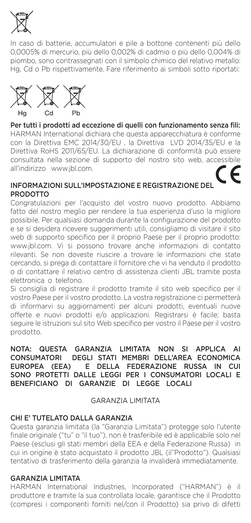

In caso di batterie, accumulatori e pile a bottone contenenti più dello 0,0005% di mercurio, più dello 0,002% di cadmio o più dello 0,004% di piombo, sono contrassegnati con il simbolo chimico del relativo metallo: Hg, Cd o Pb rispettivamente. Fare riferimento ai simboli sotto riportati:



Per tutti i prodotti ad eccezione di quelli con funzionamento senza fili: HARMAN International dichiara che questa apparecchiatura è conforme con la Direttiva EMC 2014/30/EU , la Direttiva LVD 2014/35/EU e la Direttiva RoHS 2011/65/EU. La dichiarazione di conformità può essere consultata nella sezione di supporto del nostro sito web, accessibile all'indirizzo www.jbl.com.

#### INFORMAZIONI SULL'IMPOSTAZIONE E REGISTRAZIONE DEL PRODOTTO

Congratulazioni per l'acquisto del vostro nuovo prodotto. Abbiamo fatto del nostro meglio per rendere la tua esperienza d'uso la migliore possibile. Per qualsiasi domanda durante la configurazione del prodotto e se si desidera ricevere suggerimenti utili, consigliamo di visitare il sito web di supporto specifico per il proprio Paese per il proprio prodotto: www.jbl.com. Vi si possono trovare anche informazioni di contatto rilevanti. Se non doveste riuscire a trovare le informazioni che state cercando, si prega di contattare il fornitore che vi ha venduto il prodotto o di contattare il relativo centro di assistenza clienti JBL tramite posta elettronica o telefono.

Si consiglia di registrare il prodotto tramite il sito web specifico per il vostro Paese per il vostro prodotto. La vostra registrazione ci permetterà di informarvi su aggiornamenti per alcuni prodotti, eventuali nuove offerte e nuovi prodotti e/o applicazioni. Registrarsi è facile; basta seguire le istruzioni sul sito Web specifico per vostro il Paese per il vostro prodotto.

#### NOTA: QUESTA GARANZIA LIMITATA NON SI APPLICA AI CONSUMATORI DEGLI STATI MEMBRI DELL'AREA ECONOMICA<br>EUROPEA (EEA) E DELLA FEDERAZIONE RUSSA IN CUI E DELLA FEDERAZIONE RUSSA IN CUI SONO PROTETTI DALLE LEGGI PER I CONSUMATORI LOCALI E BENEFICIANO DI GARANZIE DI LEGGE LOCALI

## GARANZIA LIMITATA

## CHI E' TUTELATO DALLA GARANZIA

Questa garanzia limitata (la "Garanzia Limitata") protegge solo l'utente finale originale ("tu" o "il tuo"), non è trasferibile ed è applicabile solo nel Paese (esclusi gli stati membri della EEA e della Federazione Russa) in cui in origine è stato acquistato il prodotto JBL (il"Prodotto"). Qualsiasi tentativo di trasferimento della garanzia la invaliderà immediatamente.

## GARANZIA LIMITATA

HARMAN International Industries, Incorporated ("HARMAN") è il produttore e tramite la sua controllata locale, garantisce che il Prodotto (compresi i componenti forniti nel/con il Prodotto) sia privo di difetti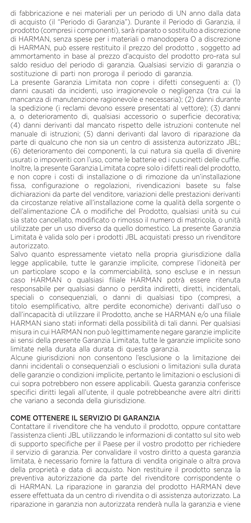di fabbricazione e nei materiali per un periodo di UN anno dalla data di acquisto (il "Periodo di Garanzia"). Durante il Periodo di Garanzia, il prodotto (compresi i componenti), sarà riparato o sostituito a discrezione di HARMAN, senza spese per i materiali o manodopera O a discrezione di HARMAN, può essere restituito il prezzo del prodotto , soggetto ad ammortamento in base al prezzo d'acquisto del prodotto pro-rata sul saldo residuo del periodo di garanzia. Qualsiasi servizio di garanzia o sostituzione di parti non proroga il periodo di garanzia.

La presente Garanzia Limitata non copre i difetti conseguenti a: (1) danni causati da incidenti, uso irragionevole o negligenza (tra cui la mancanza di manutenzione ragionevole e necessaria); (2) danni durante la spedizione (i reclami devono essere presentati al vettore); (3) danni a, o deterioramento di, qualsiasi accessorio o superficie decorativa; (4) danni derivanti dal mancato rispetto delle istruzioni contenute nel manuale di istruzioni; (5) danni derivanti dal lavoro di riparazione da parte di qualcuno che non sia un centro di assistenza autorizzato JBL; (6) deterioramento dei componenti, la cui natura sia quella di divenire usurati o impoveriti con l'uso, come le batterie ed i cuscinetti delle cuffie. Inoltre, la presente Garanzia Limitata copre solo i difetti reali del prodotto, e non copre i costi di installazione o di rimozione da un'installazione fissa, configurazione o regolazioni, rivendicazioni basete su false dichiarazioni da parte del venditore, variazioni delle prestazioni derivanti da circostanze relative all'installazione come la qualità della sorgente o dell'alimentazione CA o modifiche del Prodotto, qualsiasi unità su cui sia stato cancellato, modificato o rimosso il numero di matricola, o unità utilizzate per un uso diverso da quello domestico. La presente Garanzia Limitata è valida solo per i prodotti JBL acquistati presso un rivenditore autorizzato.

Salvo quanto espressamente vietato nella propria giurisdizione dalla legge applicabile, tutte le garanzie implicite, comprese l'idoneità per un particolare scopo e la commerciabilità, sono escluse e in nessun caso HARMAN o qualsiasi filiale HARMAN potrà essere ritenuta responsabile per qualsiasi danno o perdita indiretti, diretti, incidentali, speciali o consequenziali, o danni di qualsiasi tipo (compresi, a titolo esemplificativo, altre perdite economiche) derivanti dall'uso o dall'incapacità di utilizzare il Prodotto, anche se HARMAN e/o una filiale HARMAN siano stati informati della possibilità di tali danni. Per qualsiasi misura in cui HARMAN non può legittimamente negare garanzie implicite ai sensi della presente Garanzia Limitata, tutte le garanzie implicite sono limitate nella durata alla durata di questa garanzia.

Alcune giurisdizioni non consentono l'esclusione o la limitazione dei danni incidentali o consequenziali o esclusioni o limitazioni sulla durata delle garanzie o condizioni implicite, pertanto le limitazioni o esclusioni di cui sopra potrebbero non essere applicabili. Questa garanzia conferisce specifici diritti legali all'utente, il quale potrebbeanche avere altri diritti che variano a seconda della giurisdizione.

## COME OTTENERE IL SERVIZIO DI GARANZIA

Contattare il rivenditore che ha venduto il prodotto, oppure contattare l'assistenza clienti JBL utilizzando le informazioni di contatto sul sito web di supporto specifiche per il Paese per il vostro prodotto per richiedere il servizio di garanzia. Per convalidare il vostro diritto a questa garanzia limitata, è necessario fornire la fattura di vendita originale o altra prova della proprietà e data di acquisto. Non restituire il prodotto senza la preventiva autorizzazione da parte del rivenditore corrispondente o di HARMAN. La riparazione in garanzia del prodotto HARMAN deve essere effettuata da un centro di rivendita o di assistenza autorizzato. La riparazione in garanzia non autorizzata renderà nulla la garanzia e viene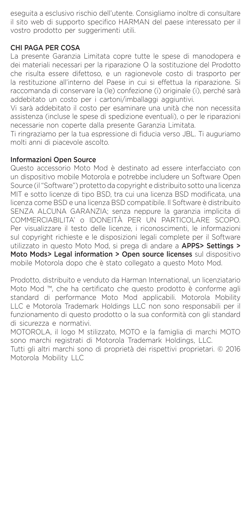eseguita a esclusivo rischio dell'utente. Consigliamo inoltre di consultare il sito web di supporto specifico HARMAN del paese interessato per il vostro prodotto per suggerimenti utili.

## CHI PAGA PER COSA

La presente Garanzia Limitata copre tutte le spese di manodopera e dei materiali necessari per la riparazione O la sostituzione del Prodotto che risulta essere difettoso, e un ragionevole costo di trasporto per la restituzione all'interno del Paese in cui si effettua la riparazione. Si raccomanda di conservare la (le) confezione (i) originale (i), perché sarà addebitato un costo per i cartoni/imballaggi aggiuntivi.

Vi sarà addebitato il costo per esaminare una unità che non necessita assistenza (incluse le spese di spedizione eventuali), o per le riparazioni necessarie non coperte dalla presente Garanzia Limitata.

Ti ringraziamo per la tua espressione di fiducia verso JBL. Ti auguriamo molti anni di piacevole ascolto.

#### Informazioni Open Source

Questo accessorio Moto Mod è destinato ad essere interfacciato con un dispositivo mobile Motorola e potrebbe includere un Software Open Source (il "Software") protetto da copyright e distribuito sotto una licenza MIT e sotto licenze di tipo BSD, tra cui una licenza BSD modificata, una licenza come BSD e una licenza BSD compatibile. Il Software è distribuito SENZA ALCUNA GARANZIA; senza neppure la garanzia implicita di COMMERCIABILITA' o IDONEITÀ PER UN PARTICOLARE SCOPO. Per visualizzare il testo delle licenze, i riconoscimenti, le informazioni sul copyright richieste e le disposizioni legali complete per il Software utilizzato in questo Moto Mod, si prega di andare a APPS> Settings > Moto Mods> Legal information > Open source licenses sul dispositivo mobile Motorola dopo che è stato collegato a questo Moto Mod.

Prodotto, distribuito e venduto da Harman International, un licenziatario Moto Mod ™, che ha certificato che questo prodotto è conforme agli standard di performance Moto Mod applicabili. Motorola Mobility LLC e Motorola Trademark Holdings LLC non sono responsabili per il funzionamento di questo prodotto o la sua conformità con gli standard di sicurezza e normativi.

MOTOROLA, il logo M stilizzato, MOTO e la famiglia di marchi MOTO sono marchi registrati di Motorola Trademark Holdings, LLC.

Tutti gli altri marchi sono di proprietà dei rispettivi proprietari. © 2016 Motorola Mobility LLC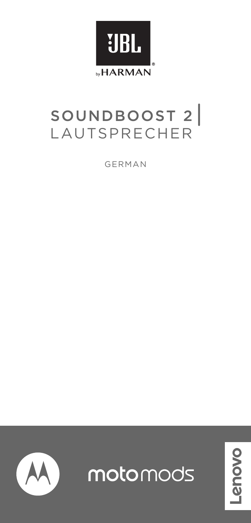

# SOUNDBOOST 2

GERMAN



motomods

povo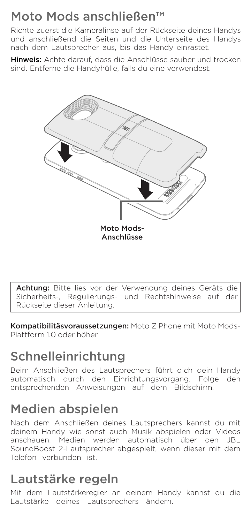## Moto Mods anschließen™

Richte zuerst die Kameralinse auf der Rückseite deines Handys und anschließend die Seiten und die Unterseite des Handys nach dem Lautsprecher aus, bis das Handy einrastet.

Hinweis: Achte darauf, dass die Anschlüsse sauber und trocken sind. Entferne die Handyhülle, falls du eine verwendest.



Achtung: Bitte lies vor der Verwendung deines Geräts die Sicherheits-, Regulierungs- und Rechtshinweise auf der Rückseite dieser Anleitung.

Kompatibilitäsvoraussetzungen: Moto Z Phone mit Moto Mods-Plattform 1.0 oder höher

# Schnelleinrichtung

Beim Anschließen des Lautsprechers führt dich dein Handy automatisch durch den Einrichtungsvorgang. Folge den entsprechenden Anweisungen auf dem Bildschirm.

## Medien abspielen

Nach dem Anschließen deines Lautsprechers kannst du mit deinem Handy wie sonst auch Musik abspielen oder Videos anschauen. Medien werden automatisch über den JBL SoundBoost 2-Lautsprecher abgespielt, wenn dieser mit dem Telefon verbunden ist.

## Lautstärke regeln

Mit dem Lautstärkeregler an deinem Handy kannst du die Lautstärke deines Lautsprechers ändern.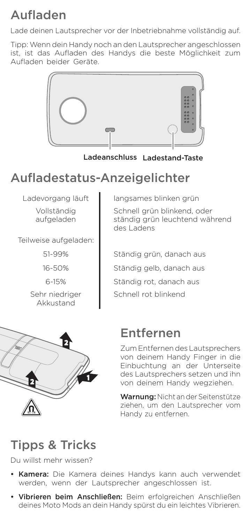# Aufladen

Lade deinen Lautsprecher vor der Inbetriebnahme vollständig auf.

Tipp: Wenn dein Handy noch an den Lautsprecher angeschlossen ist, ist das Aufladen des Handys die beste Möglichkeit zum Aufladen beider Geräte.



Ladeanschluss Ladestand-Taste

## Aufladestatus-Anzeigelichter

Vollständig aufgeladen

Teilweise aufgeladen:

51-99%

16-50%

6-15%

Sehr niedriger Akkustand

Ladevorgang läuft | langsames blinken grün Schnell grün blinkend, oder ständig grün leuchtend während des Ladens

> Ständig grün, danach aus Ständig gelb, danach aus Ständig rot, danach aus Schnell rot blinkend



## Entfernen

Zum Entfernen des Lautsprechers von deinem Handy Finger in die Einbuchtung an der Unterseite des Lautsprechers setzen und ihn von deinem Handy wegziehen.

Warnung: Nicht an der Seitenstütze ziehen, um den Lautsprecher vom Handy zu entfernen.

## Tipps & Tricks

Du willst mehr wissen?

- Kamera: Die Kamera deines Handys kann auch verwendet werden, wenn der Lautsprecher angeschlossen ist.
- Vibrieren beim Anschließen: Beim erfolgreichen Anschließen deines Moto Mods an dein Handy spürst du ein leichtes Vibrieren.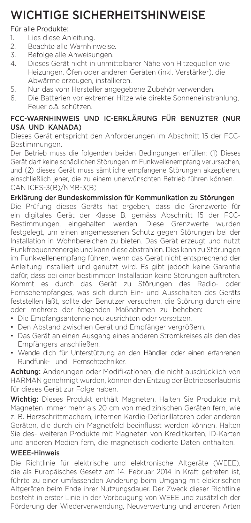## WICHTIGE SICHERHEITSHINWEISE

# Für alle Produkte:<br>1 Lies diese Ar

- 1. Lies diese Anleitung.<br>2. Beachte alle Warnhir
- 2. Beachte alle Warnhinweise.<br>3. Befolge alle Anweisungen
- 3. Befolge alle Anweisungen.<br>4. Dieses Gerät nicht in unmit
- 4. Dieses Gerät nicht in unmittelbarer Nähe von Hitzequellen wie Heizungen, Öfen oder anderen Geräten (inkl. Verstärker), die Abwärme erzeugen, installieren.
- 5. Nur das vom Hersteller angegebene Zubehör verwenden.<br>6. Die Batterien vor extremer Hitze wie direkte Sonneneinstr
- Die Batterien vor extremer Hitze wie direkte Sonneneinstrahlung, Feuer o.ä. schützen.

## FCC-WARNHINWEIS UND IC-ERKLÄRUNG FÜR BENUZTER (NUR USA UND KANADA)

Dieses Gerät entspricht den Anforderungen im Abschnitt 15 der FCC-Bestimmungen.

Der Betrieb muss die folgenden beiden Bedingungen erfüllen: (1) Dieses Gerät darf keine schädlichen Störungen im Funkwellenempfang verursachen, und (2) dieses Gerät muss sämtliche empfangene Störungen akzeptieren, einschließlich jener, die zu einem unerwünschten Betrieb führen können. CAN ICES-3(B)/NMB-3(B)

## Erklärung der Bundeskommission für Kommunikation zu Störungen

Die Prüfung dieses Geräts hat ergeben, dass die Grenzwerte für ein digitales Gerät der Klasse B, gemäss Abschnitt 15 der FCC-Bestimmungen, eingehalten werden. Diese Grenzwerte wurden festgelegt, um einen angemessenen Schutz gegen Störungen bei der Installation in Wohnbereichen zu bieten. Das Gerät erzeugt und nutzt Funkfrequenzenergie und kann diese abstrahlen. Dies kann zu Störungen im Funkwellenempfang führen, wenn das Gerät nicht entsprechend der Anleitung installiert und genutzt wird. Es gibt jedoch keine Garantie dafür, dass bei einer bestimmten Installation keine Störungen auftreten. Kommt es durch das Gerät zu Störungen des Radio- oder Fernsehempfanges, was sich durch Ein- und Ausschalten des Geräts feststellen läßt, sollte der Benutzer versuchen, die Störung durch eine oder mehrere der folgenden Maßnahmen zu beheben:

- Die Empfangsantenne neu ausrichten oder versetzen.
- Den Abstand zwischen Gerät und Empfänger vergrößern.
- Das Gerät an einen Ausgang eines anderen Stromkreises als den des Empfängers anschließen.
- Wende dich für Unterstützung an den Händler oder einen erfahrenen Rundfunk- und Fernsehtechniker.

Achtung: Änderungen oder Modifikationen, die nicht ausdrücklich von HARMAN genehmigt wurden, können den Entzug der Betriebserlaubnis für dieses Gerät zur Folge haben.

Wichtig: Dieses Produkt enthält Magneten. Halten Sie Produkte mit Magneten immer mehr als 20 cm von medizinischen Geräten fern, wie z. B. Herzschrittmachern, internen Kardio-Defibrillatoren oder anderen Geräten, die durch ein Magnetfeld beeinflusst werden können. Halten Sie des- weiteren Produkte mit Magneten von Kreditkarten, ID-Karten und anderen Medien fern, die magnetisch codierte Daten enthalten.

## WEEE-Hinweis

Die Richtlinie für elektrische und elektronische Altgeräte (WEEE), die als Europäisches Gesetz am 14. Februar 2014 in Kraft getreten ist, führte zu einer umfassenden Änderung beim Umgang mit elektrischen Altgeräten beim Ende ihrer Nutzungsdauer. Der Zweck dieser Richtlinie besteht in erster Linie in der Vorbeugung von WEEE und zusätzlich der Förderung der Wiederverwendung, Neuverwertung und anderen Arten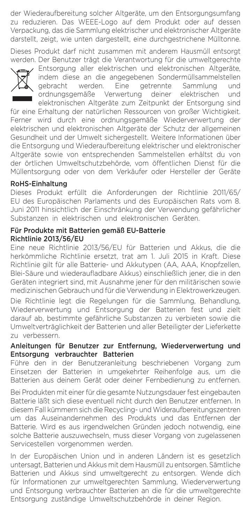der Wiederaufbereitung solcher Altgeräte, um den Entsorgungsumfang zu reduzieren. Das WEEE-Logo auf dem Produkt oder auf dessen Verpackung, das die Sammlung elektrischer und elektronischer Altgeräte darstellt, zeigt, wie unten dargestellt, eine durchgestrichene Mülltonne.

Dieses Produkt darf nicht zusammen mit anderem Hausmüll entsorgt werden. Der Benutzer trägt die Verantwortung für die umweltgerechte



Entsorgung aller elektrischen und elektronischen Altgeräte, indem diese an die angegebenen Sondermüllsammelstellen gebracht werden. Eine getrennte Sammlung und ordnungsgemäße Verwertung deiner elektrischen und elektronischen Altgeräte zum Zeitpunkt der Entsorgung sind

für eine Erhaltung der natürlichen Ressourcen von großer Wichtigkeit. Ferner wird durch eine ordnungsgemäße Wiederverwertung der elektrischen und elektronischen Altgeräte der Schutz der allgemeinen Gesundheit und der Umwelt sichergestellt. Weitere Informationen über die Entsorgung und Wiederaufbereitung elektrischer und elektronischer Altgeräte sowie von entsprechenden Sammelstellen erhältst du von der örtlichen Umweltschutzbehörde, vom öffentlichen Dienst für die Müllentsorgung oder von dem Verkäufer oder Hersteller der Geräte

#### RoHS-Einhaltung

Dieses Produkt erfüllt die Anforderungen der Richtlinie 2011/65/ EU des Europäischen Parlaments und des Europäischen Rats vom 8. Juni 2011 hinsichtlich der Einschränkung der Verwendung gefährlicher Substanzen in elektrischen und elektronischen Geräten.

#### Für Produkte mit Batterien gemäß EU-Batterie Richtlinie 2013/56/EU

Eine neue Richtlinie 2013/56/EU für Batterien und Akkus, die die herkömmliche Richtlinie ersetzt, trat am 1. Juli 2015 in Kraft. Diese Richtlinie gilt für alle Batterie- und Akkutypen (AA, AAA, Knopfzellen, Blei-Säure und wiederaufladbare Akkus) einschließlich jener, die in den Geräten integriert sind, mit Ausnahme jener für den militärischen sowie medizinischen Gebrauch und für die Verwendung in Elektrowerkzeugen. Die Richtlinie legt die Regelungen für die Sammlung, Behandlung, Wiederverwertung und Entsorgung der Batterien fest und zielt darauf ab, bestimmte gefährliche Substanzen zu verbieten sowie die Umweltverträglichkeit der Batterien und aller Beteiligter der Lieferkette zu verbessern.

#### Anleitungen für Benutzer zur Entfernung, Wiederverwertung und Entsorgung verbrauchter Batterien

Führe den in der Benutzeranleitung beschriebenen Vorgang zum Einsetzen der Batterien in umgekehrter Reihenfolge aus, um die Batterien aus deinem Gerät oder deiner Fernbedienung zu entfernen.

Bei Produkten mit einer für die gesamte Nutzungsdauer fest eingebauten Batterie läßt sich diese eventuell nicht durch den Benutzer entfernen. In diesem Fall kümmern sich die Recycling- und Wideraufbereitungszentren um das Auseinandernehmen des Produkts und das Entfernen der Batterie. Wird es aus irgendwelchen Gründen jedoch notwendig, eine solche Batterie auszuwechseln, muss dieser Vorgang von zugelassenen Servicestellen vorgenommen werden.

In der Europäischen Union und in anderen Ländern ist es gesetzlich untersagt, Batterien und Akkus mit dem Hausmüll zu entsorgen. Sämtliche Batterien und Akkus sind umweltgerecht zu entsorgen. Wende dich für Informationen zur umweltgerechten Sammlung, Wiederverwertung und Entsorgung verbrauchter Batterien an die für die umweltgerechte Entsorgung zuständige Umweltschutzbehörde in deiner Region.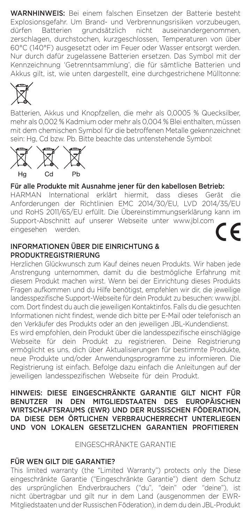WARNHINWEIS: Bei einem falschen Einsetzen der Batterie besteht Explosionsgefahr. Um Brand- und Verbrennungsrisiken vorzubeugen, dürfen Batterien grundsätzlich nicht auseinandergenommen, zerschlagen, durchstochen, kurzgeschlossen, Temperaturen von über 60°C (140°F) ausgesetzt oder im Feuer oder Wasser entsorgt werden. Nur durch dafür zugelassene Batterien ersetzen. Das Symbol mit der Kennzeichnung 'Getrenntsammlung', die für sämtliche Batterien und Akkus gilt, ist, wie unten dargestellt, eine durchgestrichene Mülltonne:



Batterien, Akkus und Knopfzellen, die mehr als 0,0005 % Quecksilber, mehr als 0,002 % Kadmium oder mehr als 0,004 % Blei enthalten, müssen mit dem chemischen Symbol für die betroffenen Metalle gekennzeichnet sein: Hg, Cd bzw. Pb. Bitte beachte das untenstehende Symbol:



## Für alle Produkte mit Ausnahme jener für den kabellosen Betrieb:

HARMAN International erklärt hiermit, dass dieses Gerät die Anforderungen der Richtlinien EMC 2014/30/EU, LVD 2014/35/EU und RoHS 2011/65/EU erfüllt. Die Übereinstimmungserklärung kann im Support-Abschnitt auf unserer Webseite unter www.jbl.com eingesehen werden.

#### INFORMATIONEN ÜBER DIE EINRICHTUNG & PRODUKTREGISTRIERUNG

Herzlichen Glückwunsch zum Kauf deines neuen Produkts. Wir haben jede Anstrengung unternommen, damit du die bestmögliche Erfahrung mit diesem Produkt machen wirst. Wenn bei der Einrichtung dieses Produkts Fragen aufkommen und du Hilfe benötigst, empfehlen wir dir, die jeweilige landesspezifische Support-Webseite für dein Produkt zu besuchen: www.jbl. com. Dort findest du auch die jeweiligen Kontaktinfos. Falls du die gesuchten Informationen nicht findest, wende dich bitte per E-Mail oder telefonisch an den Verkäufer des Produkts oder an den jeweiligen JBL-Kundendienst.

Es wird empfohlen, dein Produkt über die landesspezifische einschlägige Webseite für dein Produkt zu registrieren. Deine Registrierung ermöglicht es uns, dich über Aktualisierungen für bestimmte Produkte, neue Produkte und/oder Anwendungsprogramme zu informieren. Die Registrierung ist einfach. Befolge dazu einfach die Anleitungen auf der jeweiligen landesspezifischen Webseite für dein Produkt.

HINWEIS: DIESE EINGESCHRÄNKTE GARANTIE GILT NICHT FÜR<br>BENUTZER IN DEN MITGLIEDSTAATEN DES EUROPÄISCHEN BENUTZER IN DEN MITGLIEDSTAATEN DES WIRTSCHAFTSRAUMS (EWR) UND DER RUSSISCHEN FÖDERATION, DA DIESE DEM ÖRTLICHEN VERBRAUCHERRECHT UNTERLIEGEN UND VON LOKALEN GESETZLICHEN GARANTIEN PROFITIEREN

#### EINGESCHRÄNKTE GARANTIE

### FÜR WEN GILT DIE GARANTIE?

This limited warranty (the "Limited Warranty") protects only the Diese eingeschränkte Garantie ("Eingeschränkte Garantie") dient dem Schutz des ursprünglichen Endverbrauchers ("du", "dein" oder "deine"), ist nicht übertragbar und gilt nur in dem Land (ausgenommen der EWR-Mitgliedstaaten und der Russischen Föderation), in dem du dein JBL-Produkt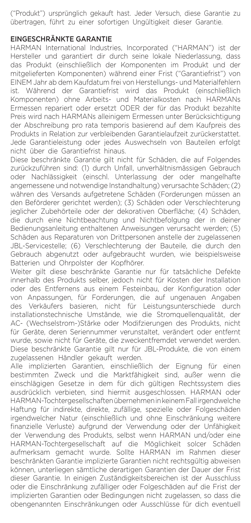("Produkt") ursprünglich gekauft hast. Jeder Versuch, diese Garantie zu übertragen, führt zu einer sofortigen Ungültigkeit dieser Garantie.

#### EINGESCHRÄNKTE GARANTIE

HARMAN International Industries, Incorporated ("HARMAN") ist der Hersteller und garantiert dir durch seine lokale Niederlassung, dass das Produkt (einschließlich der Komponenten im Produkt und der mitgelieferten Komponenten) während einer Frist ("Garantiefrist") von EINEM Jahr ab dem Kaufdatum frei von Herstellungs- und Materialfehlern ist. Während der Garantiefrist wird das Produkt (einschließlich Komponenten) ohne Arbeits- und Materialkosten nach HARMANs Ermessen repariert oder ersetzt ODER der für das Produkt bezahlte Preis wird nach HARMANs alleinigem Ermessen unter Berücksichtigung der Abschreibung pro rata temporis basierend auf dem Kaufpreis des Produkts in Relation zur verbleibenden Garantielaufzeit zurückerstattet. Jede Garantieleistung oder jedes Auswechseln von Bauteilen erfolgt nicht über die Garantiefrist hinaus.

Diese beschränkte Garantie gilt nicht für Schäden, die auf Folgendes zurückzuführen sind: (1) durch Unfall, unverhältnismässigen Gebrauch oder Nachlässigkeit (einschl. Unterlassung der oder mangelhafte angemessene und notwendige Instandhaltung) verursachte Schäden; (2) währen des Versands aufgetretene Schäden (Forderungen müssen an den Beförderer gerichtet werden); (3) Schäden oder Verschlechterung jeglicher Zubehörteile oder der dekorativen Oberfläche; (4) Schäden, die durch eine Nichtbeachtung und Nichtbefolgung der in deiner Bedienungsanleitung enthaltenen Anweisungen verursacht werden; (5) Schäden aus Reparaturen von Drittpersonen anstelle der zugelassenen JBL-Servicestelle; (6) Verschlechterung der Bauteile, die durch den Gebrauch abgenutzt oder aufgebraucht wurden, wie beispielsweise Batterien und Ohrpolster der Kopfhörer.

Weiter gilt diese beschränkte Garantie nur für tatsächliche Defekte innerhalb des Produkts selber, jedoch nicht für Kosten der Installation oder des Entfernens aus einem Festeinbau, der Konfiguration oder von Anpassungen, für Forderungen, die auf ungenauen Angaben des Verkäufers basieren, nicht für Leistungsunterschiede durch installationstechnische Umstände, wie die Stromquellenqualität, der AC- (Wechselstrom-)Stärke oder Modifzierungen des Produkts, nicht für Geräte, deren Seriennummer verunstaltet, verändert oder entfernt wurde, sowie nicht für Geräte, die zweckentfremdet verwendet werden. Diese beschränkte Garantie gilt nur für JBL-Produkte, die von einem zugelassenen Händler gekauft werden.

Alle implizierten Garantien, einschließlich der Eignung für einen bestimmten Zweck und die Marktfähigkeit sind, außer wenn die einschlägigen Gesetze in dem für dich gültigen Rechtssystem dies ausdrücklich verbieten, sind hiermit ausgeschlossen. HARMAN oder HARMAN-TochtergesellschaftenübernehmeninkeinemFallirgendwelche Haftung für indirekte, direkte, zufällige, spezielle oder Folgeschäden irgendwelcher Natur (einschließlich und ohne Einschränkung weitere finanzielle Verluste) aufgrund der Verwendung oder der Unfähigkeit der Verwendung des Produkts, selbst wenn HARMAN und/oder eine HARMAN-Tochtergesellschaft auf die Möglichkeit solcer Schäden aufmerksam gemacht wurde. Sollte HARMAN im Rahmen dieser beschränkten Garantie implizierte Garantien nicht rechtsgültig abweisen können, unterliegen sämtliche derartigen Garantien der Dauer der Frist dieser Garantie. In einigen Zuständigkeitsbereichen ist der Ausschluss oder die Einschränkung zufälliger oder Folgeschäden auf die Frist der implizierten Garantien oder Bedingungen nicht zugelassen, so dass die obengenannten Einschränkungen oder Ausschlüsse für dich eventuell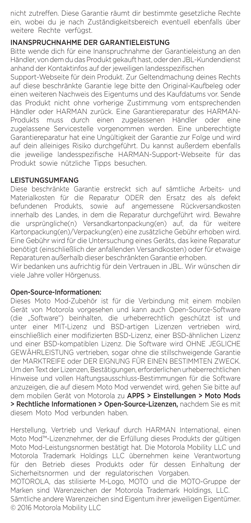nicht zutreffen. Diese Garantie räumt dir bestimmte gesetzliche Rechte ein, wobei du je nach Zuständigkeitsbereich eventuell ebenfalls über weitere Rechte verfügst.

## INANSPRUCHNAHME DER GARANTIELEISTUNG

Bitte wende dich für eine Inanspruchnahme der Garantieleistung an den Händler, von dem du das Produkt gekauft hast, oder den JBL-Kundendienst anhand der Kontaktinfos auf der jeweiligen landesspezifischen

Support-Webseite für dein Produkt. Zur Geltendmachung deines Rechts auf diese beschränkte Garantie lege bitte den Original-Kaufbeleg oder einen weiteren Nachweis des Eigentums und des Kaufdatums vor. Sende das Produkt nicht ohne vorherige Zustimmung vom entsprechenden Händler oder HARMAN zurück. Eine Garantiereparatur des HARMAN-Produkts muss durch einen zugelassenen Händler oder eine zugelassene Servicestelle vorgenommen werden. Eine unberechtigte Garantiereparatur hat eine Ungültigkeit der Garantie zur Folge und wird auf dein alleiniges Risiko durchgeführt. Du kannst außerdem ebenfalls die jeweilige landesspezifische HARMAN-Support-Webseite für das Produkt sowie nützliche Tipps besuchen.

#### LEISTUNGSUMFANG

Diese beschränkte Garantie erstreckt sich auf sämtliche Arbeits- und Materialkosten für die Reparatur ODER den Ersatz des als defekt befundenen Produkts, sowie auf angemessene Rückversandkosten innerhalb des Landes, in dem die Reparatur durchgeführt wird. Bewahre die ursprüngliche(n) Versandkartonpackung(en) auf, da für weitere Kartonpackung(en)/Verpackung(en) eine zusätzliche Gebühr erhoben wird. Eine Gebühr wird für die Untersuchung eines Geräts, das keine Reparatur benötigt (einschließlich der anfallenden Versandkosten) oder für etwaige Reparaturen außerhalb dieser beschränkten Garantie erhoben.

Wir bedanken uns aufrichtig für dein Vertrauen in JBL. Wir wünschen dir viele Jahre voller Hörgenuss.

### Open-Source-Informationen:

Dieses Moto Mod-Zubehör ist für die Verbindung mit einem mobilen Gerät von Motorola vorgesehen und kann auch Open-Source-Software (die "Software") beinhalten, die urheberrechtlich geschützt ist und unter einer MIT-Lizenz und BSD-artigen Lizenzen vertrieben wird, einschließlich einer modifizierten BSD-Lizenz, einer BSD-ähnlichen Lizenz und einer BSD-kompatiblen Lizenz. Die Software wird OHNE JEGLICHE GEWÄHRLEISTUNG vertrieben, sogar ohne die stillschweigende Garantie der MARKTREIFE oder DER EIGNUNG FÜR EINEN BESTIMMTEN ZWECK. Um den Text der Lizenzen, Bestätigungen, erforderlichen urheberrechtlichen Hinweise und vollen Haftungsausschluss-Bestimmungen für die Software anzuzeigen, die auf diesem Moto Mod verwendet wird, gehen Sie bitte auf dem mobilen Gerät von Motorola zu APPS > Einstellungen > Moto Mods > Rechtliche Informationen > Open-Source-Lizenzen, nachdem Sie es mit diesem Moto Mod verbunden haben.

Herstellung, Vertrieb und Verkauf durch HARMAN International, einen Moto Mod™-Lizenznehmer, der die Erfüllung dieses Produkts der gültigen Moto Mod-Leistungsnormen bestätigt hat. Die Motorola Mobility LLC und Motorola Trademark Holdings LLC übernehmen keine Verantwortung für den Betrieb dieses Produkts oder für dessen Einhaltung der Sicherheitsnormen und der regulatorischen Vorgaben.

MOTOROLA, das stilisierte M-Logo, MOTO und die MOTO-Gruppe der Marken sind Warenzeichen der Motorola Trademark Holdings, LLC.

Sämtliche andere Warenzeichen sind Eigentum ihrer jeweiligen Eigentümer. © 2016 Motorola Mobility LLC